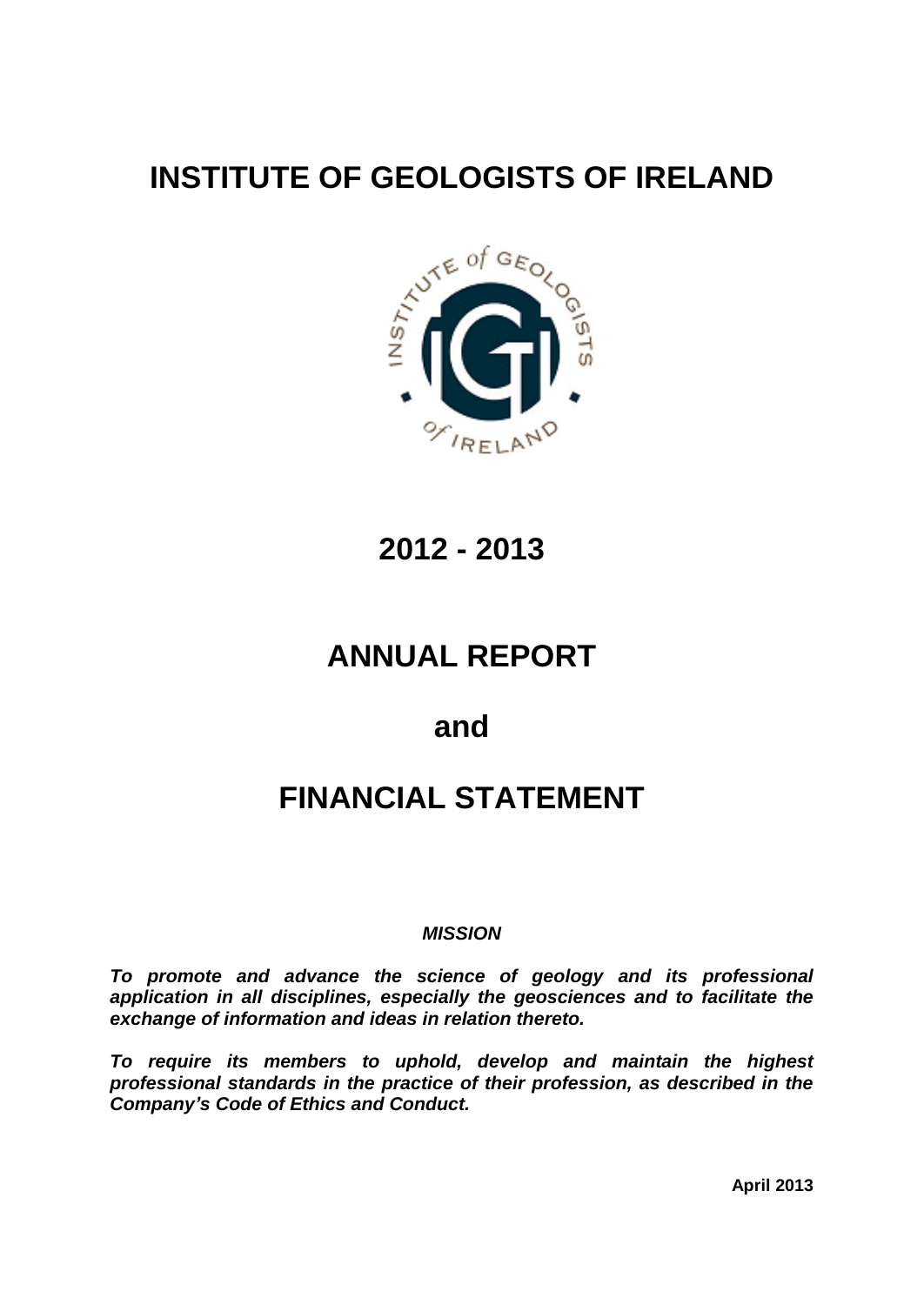# **INSTITUTE OF GEOLOGISTS OF IRELAND**



**2012 - 2013**

# **ANNUAL REPORT**

**and**

# **FINANCIAL STATEMENT**

# **MISSION**

**To promote and advance the science of geology and its professional application in all disciplines, especially the geosciences and to facilitate the exchange of information and ideas in relation thereto.**

**To require its members to uphold, develop and maintain the highest professional standards in the practice of their profession, as described in the** To require its members to uphold, dev<br>professional standards in the practice of the<br>Company's Code of Ethics and Conduct.

**April 2013**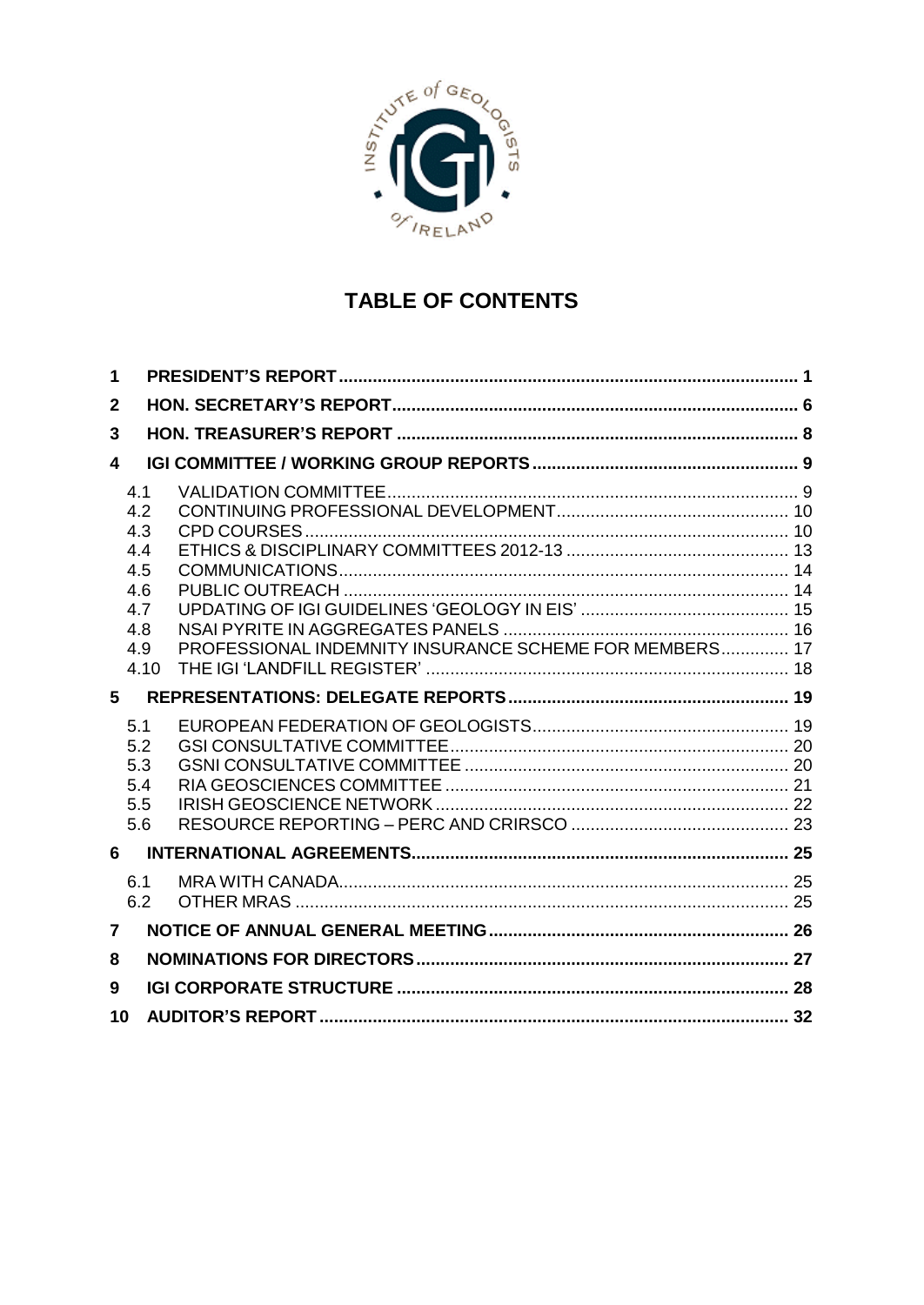

# **TABLE OF CONTENTS**

| 1              |                                                                     |                                                        |  |
|----------------|---------------------------------------------------------------------|--------------------------------------------------------|--|
| $\mathbf 2$    |                                                                     |                                                        |  |
| 3              |                                                                     |                                                        |  |
| 4              |                                                                     |                                                        |  |
|                | 4.1<br>4.2<br>4.3<br>4.4<br>4.5<br>4.6<br>4.7<br>4.8<br>4.9<br>4.10 | PROFESSIONAL INDEMNITY INSURANCE SCHEME FOR MEMBERS 17 |  |
| $5 -$          |                                                                     |                                                        |  |
|                | 5.1<br>5.2<br>5.3<br>5.4<br>5.5<br>5.6                              |                                                        |  |
| 6              |                                                                     |                                                        |  |
|                | 6.1<br>6.2                                                          |                                                        |  |
| $\overline{7}$ |                                                                     |                                                        |  |
| 8              |                                                                     |                                                        |  |
| 9              |                                                                     |                                                        |  |
| 10             |                                                                     |                                                        |  |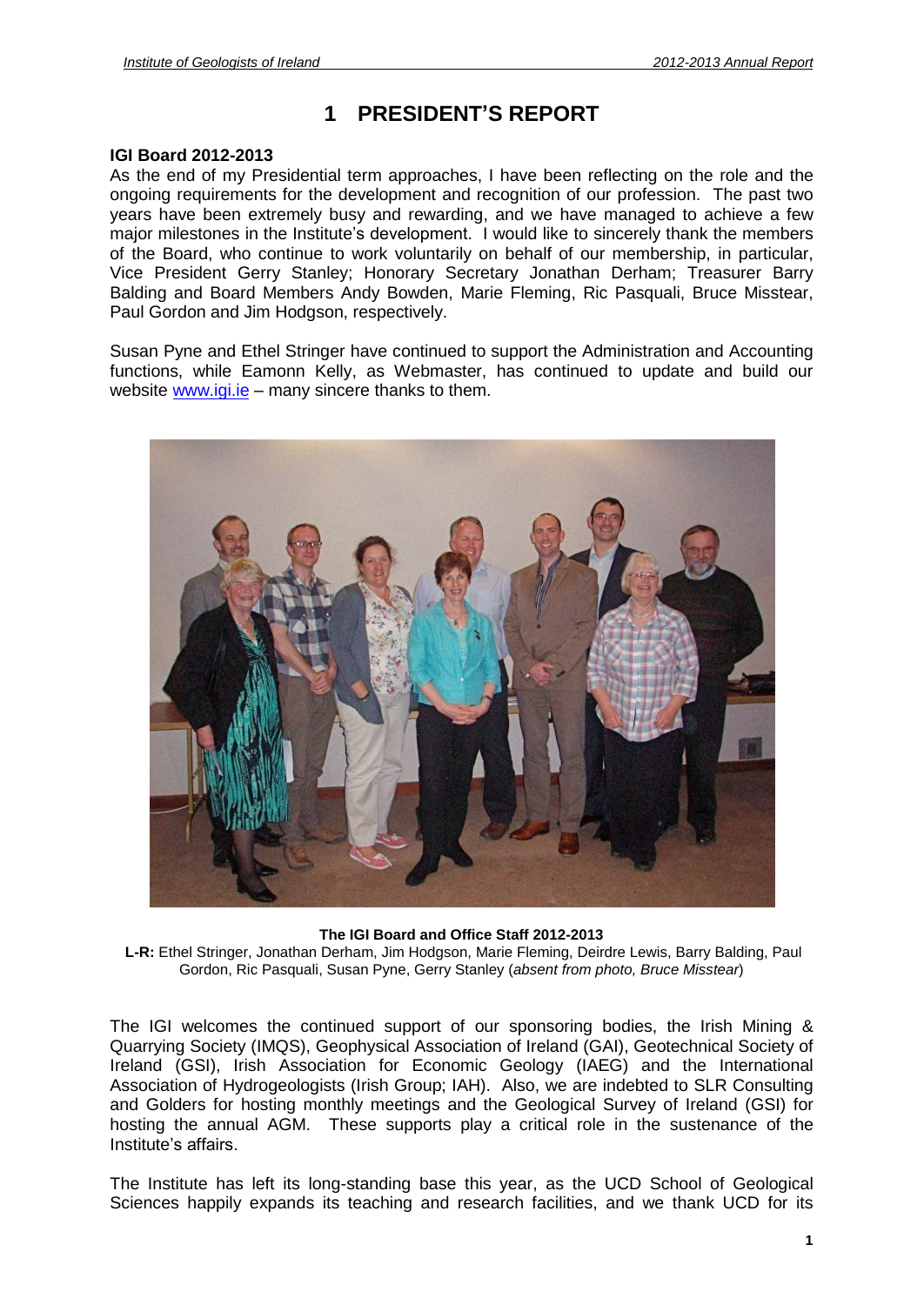# **<sup>1</sup> PRESIDENTí<sup>S</sup> REPORT**

# **IGI Board 2012-2013**

As the end of my Presidential term approaches, I have been reflecting on the role and the ongoing requirements for the development and recognition of our profession. The past two years have been extremely busy and rewarding, and we have managed to achieve a few major milestones in the Institute is development and recognition of our profession. The past two<br>years have been extremely busy and rewarding, and we have managed to achieve a few<br>major milestones in the Institute's develo of the Board, who continue to work voluntarily on behalf of our membership, in particular, Vice President Gerry Stanley; Honorary Secretary Jonathan Derham; Treasurer Barry Balding and Board Members Andy Bowden, Marie Fleming, Ric Pasquali, Bruce Misstear, Paul Gordon and Jim Hodgson, respectively.

Susan Pyne and Ethel Stringer have continued to support the Administration and Accounting functions, while Eamonn Kelly, as Webmaster, has continued to update and build our Susan Pyne and Ethel Stringer have continued to supp<br>functions, while Eamonn Kelly, as Webmaster, has<br>website <u>[www.igi.ie](http://www.igi.ie)</u> – many sincere thanks to them.



**The IGI Board and Office Staff 2012-2013**

**L-R:** Ethel Stringer, Jonathan Derham, Jim Hodgson, Marie Fleming, Deirdre Lewis, Barry Balding, Paul Gordon, Ric Pasquali, Susan Pyne, Gerry Stanley (absent from photo, Bruce Misstear)

The IGI welcomes the continued support of our sponsoring bodies, the Irish Mining & Quarrying Society (IMQS), Geophysical Association of Ireland (GAI), Geotechnical Society of Ireland (GSI), Irish Association for Economic Geology (IAEG) and the International Association of Hydrogeologists (Irish Group; IAH). Also, we are indebted to SLR Consulting and Golders for hosting monthly meetings and the Geological Survey of Ireland (GSI) for hosting the annual AGM. These supports play a critical role in the sustenance of the Institute is the most<br>and Golders for host<br>hosting the annual *I*<br>Institute's affairs.

The Institute has left its long-standing base this year, as the UCD School of Geological Sciences happily expands its teaching and research facilities, and we thank UCD for its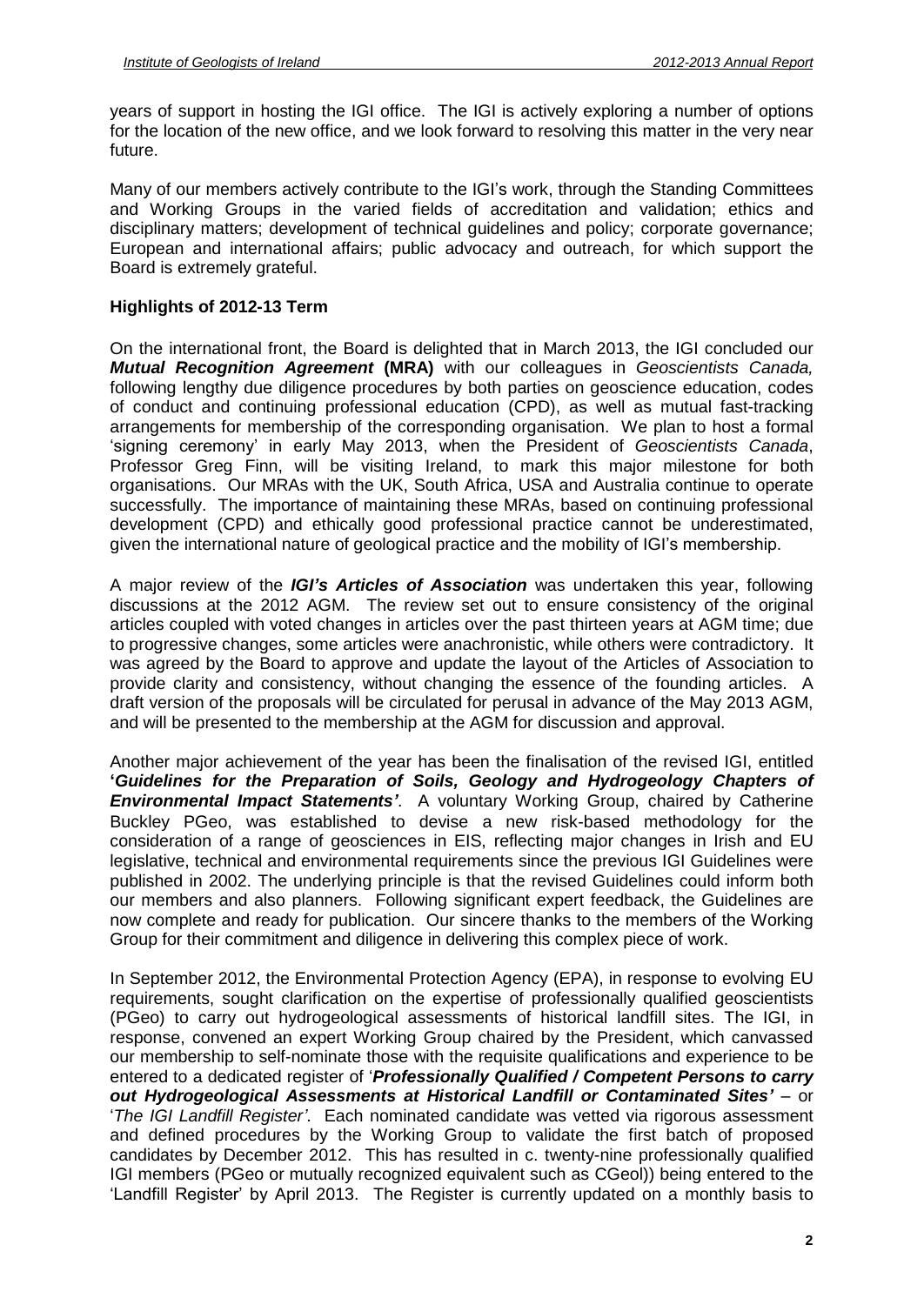years of support in hosting the IGI office. The IGI is actively exploring a number of options for the location of the new office, and we look forward to resolving this matter in the very near future.

Many of our members actively contribute to the IGI's work, through the Standing Committees and Working Groups in the varied fields of accreditation and validation; ethics and disciplinary matters; development of technical guidelines and policy; corporate governance; European and international affairs; public advocacy and outreach, for which support the Board is extremely grateful.

# **Highlights of 2012-13 Term**

On the international front, the Board is delighted thatin March 2013, the IGI concluded our **Mutual Recognition Agreement (MRA)** with our colleagues in Geoscientists Canada, following lengthy due diligence procedures by both parties on geoscience education, codes For conduct and continuing professional education (CPD), as well as mutual fast-tracking<br>arrangements for membership of the corresponding organisation. We plan to host a formal<br>'signing ceremony' in early May 2013, when th arrangements for membership of the corresponding organisation. We plan to host a formal Professor Greg Finn, will be visiting Ireland, to mark this major milestone for both organisations. Our MRAs with the UK, South Africa, USA and Australia continue to operate successfully. The importance of maintaining these MRAs, based on continuing professional given the international nature of geological practice and the mobility of IGIís membership. development (CPD) and ethically good professional practice cannot be underestimated, given the international nature of geological practice and the mobility of IGI's membership.<br>A major review of the *IGI's Articles of Association* was undertaken this year, following

discussions at the 2012 AGM. The review set out to ensure consistency of the original articles coupled with voted changes in articles over the past thirteen years at AGM time; due to progressive changes, some articles were anachronistic, while others were contradictory. It was agreed by the Board to approve and update the layout of the Articles of Association to provide clarity and consistency, without changing the essence of the founding articles. A draft version of the proposals will be circulated for perusal in advance of the May 2013 AGM, and will be presented to the membership at the AGM for discussion and approval.

Another major achievement of the year has been the finalisation of the revised IGI, entitled **Guidelines for the Preparation of Soils, Geology and Hydrogeology Chapters of Environmental Impact Statements***í*. <sup>A</sup> voluntary Working Group, chaired by Catherine Buckley PGeo, was established to devise a new risk-based methodology for the consideration of a range of geosciences in EIS, reflecting major changes in Irish and EU legislative, technical and environmental requirements since the previous IGI Guidelines were published in 2002. The underlying principle is that the revised Guidelines could inform both our members and also planners. Following significant expert feedback, the Guidelines are now complete and ready for publication. Our sincere thanks to the members of the Working Group for their commitment and diligence in delivering this complex piece of work.

In September 2012, the Environmental Protection Agency (EPA), in response to evolving EU requirements, sought clarification on the expertise of professionally qualified geoscientists (PGeo) to carry out hydrogeological assessments of historical landfill sites. The IGI, in response, convened an expert Working Group chaired by the President, which canvassed our membership to self-nominate those with the requisite qualifications and experience to be response, convened an expert Working Group chaired by the President, which canvassed<br>our membership to self-nominate those with the requisite qualifications and experience to be<br>entered to a dedicated register of '**Profess our membership to self-nominate those with the requisite qualifications and experience to be entered to a dedicated register of 'Professionally Qualified / Competent Persons to carry out Hydrogeological Assessments at His** Fourthead to a dedicated register of '**Professionally Qualified** / **Competent Persons to carry**<br> **Out Hydrogeological Assessments at Historical Landfill or Contaminated Sites'** – or<br>
The IGI Landfill Register'. Each nomina and defined procedures by the Working Group to validate the first batch of proposed candidates by December 2012. This has resulted in c. twenty-nine professionally qualified IGI members (PGeo or mutually recognized equivalent such as CGeol)) being entered to the 'Landfill Register' by April 2013. The Register is currently updated on a monthly basis to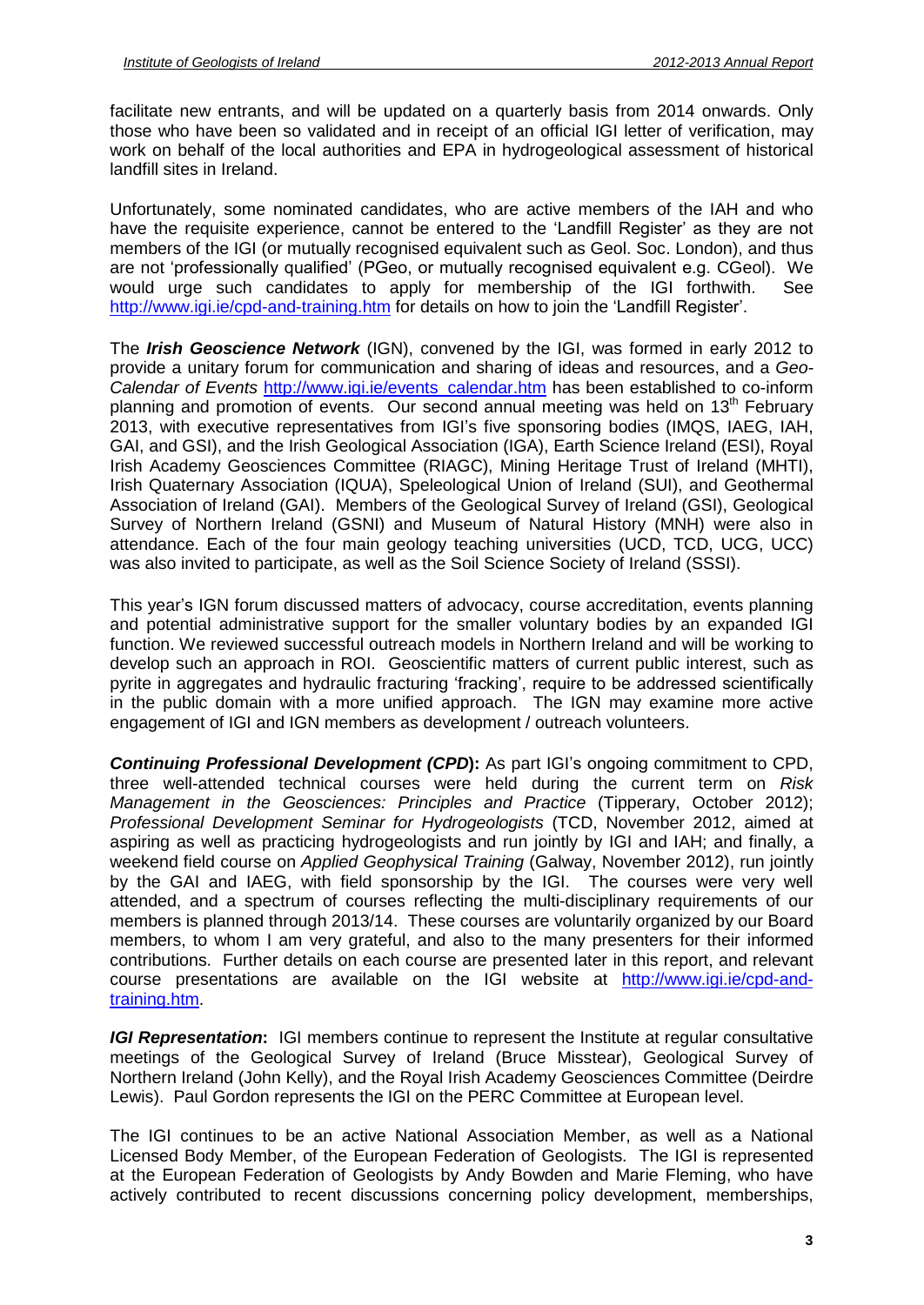facilitate new entrants, and will be updated on a quarterly basis from 2014 onwards. Only those who have been so validated and in receipt of an official IGI letter of verification, may work on behalf of the local authorities and EPA in hydrogeological assessment of historical landfill sites in Ireland.

Unfortunately, some nominated candidates, who are active members of the IAH and who randments are the requisite.<br>Unfortunately, some nominated candidates, who are active members of the IAH and who<br>have the requisite experience, cannot be entered to the 'Landfill Register' as they are not members of the IGI (or mutually recognised equivalent such as Geol. Soc. London), and thus have the requisite experience, cannot be entered to the 'Landfill Register' as they are not would urge such candidates to apply for membership of the IGI forthwith. See are not 'professionally qualified' (PGeo, or mutually recognised equivalent e.g. CGeol). We would urge such candidates to apply for membership of the IGI forthwith. See <http://www.igi.ie/cpd-and-training.htm> for details on

The **Irish Geoscience Network** (IGN), convened by the IGI, was formed in early 2012 to provide a unitary forum for communication and sharing of ideas and resources, and a Geo Calendar of Events [http://www.igi.ie/events\\_calendar.htm](http://www.igi.ie/events_calendar.htm) has been established to co-inform planning and promotion of events. Our second annual meeting was held on 13<sup>th</sup> February Calendar of Events http://www.igi.ie/events calendar.htm has been established to co-inform<br>planning and promotion of events. Our second annual meeting was held on 13<sup>th</sup> February<br>2013, with executive representatives from I GAI, and GSI), and the Irish Geological Association (IGA), Earth Science Ireland (ESI), Royal Irish Academy Geosciences Committee (RIAGC), Mining Heritage Trust of Ireland (MHTI), Irish Quaternary Association (IQUA), Speleological Union of Ireland (SUI), and Geothermal Association of Ireland (GAI). Members of the Geological Survey of Ireland (GSI), Geological Survey of Northern Ireland (GSNI) and Museum of Natural History (MNH) were also in attendance. Each of the four main geology teaching universities (UCD, TCD, UCG, UCC) was also invited to participate, as well as the Soil Science Society of Ireland (SSSI).<br>This year's IGN forum discussed matters of advocacy, course accreditation, events planning

and potential administrative support for the smaller voluntary bodies by an expanded IGI function. We reviewed successful outreach models in Northern Ireland and will be working to develop such an approach in ROI. Geoscientific matters of current public interest, such as priorition. We reviewed successful outreach models in Northern Ireland and will be working to<br>develop such an approach in ROI. Geoscientific matters of current public interest, such as<br>pyrite in aggregates and hydraulic fr in the public domain with a more unified approach. The IGN may examine more active engagement of IGI and IGN members as development / outreach volunteers.

**Continuing Professional Development (CPD):** As part IGIís ongoing commitment to CPD, three well-attended technical courses were held during the current term on Risk Management in the Geosciences: Principles and Practice (Tipperary, October 2012); Professional Development Seminar for Hydrogeologists (TCD, November 2012, aimed at aspiring as well as practicing hydrogeologists and run jointly by IGI and IAH; and finally, a weekend field course on Applied Geophysical Training (Galway, November 2012), run jointly by the GAI and IAEG, with field sponsorship by the IGI. The courses were very well attended, and a spectrum of courses reflecting the multi-disciplinary requirements of our members is planned through 2013/14. These courses are voluntarily organized by our Board members, to whom I am very grateful, and also to the many presenters for their informed contributions. Further details on each course are presented later in this report, and relevant course presentations are available on the IGI website at [http://www.igi.ie/cpd-and](http://www.igi.ie/cpd-and-)training.htm.

**IGI Representation:** IGI members continue to represent the Institute at regular consultative meetings of the Geological Survey of Ireland (Bruce Misstear), Geological Survey of Northern Ireland (John Kelly), and the Royal Irish Academy Geosciences Committee (Deirdre Lewis). Paul Gordon represents the IGI on the PERC Committee at European level.

The IGI continues to be an active National Association Member, as well as a National Licensed Body Member, of the European Federation of Geologists. The IGI is represented at the European Federation of Geologists by Andy Bowden and Marie Fleming, who have actively contributed to recent discussions concerning policy development, memberships,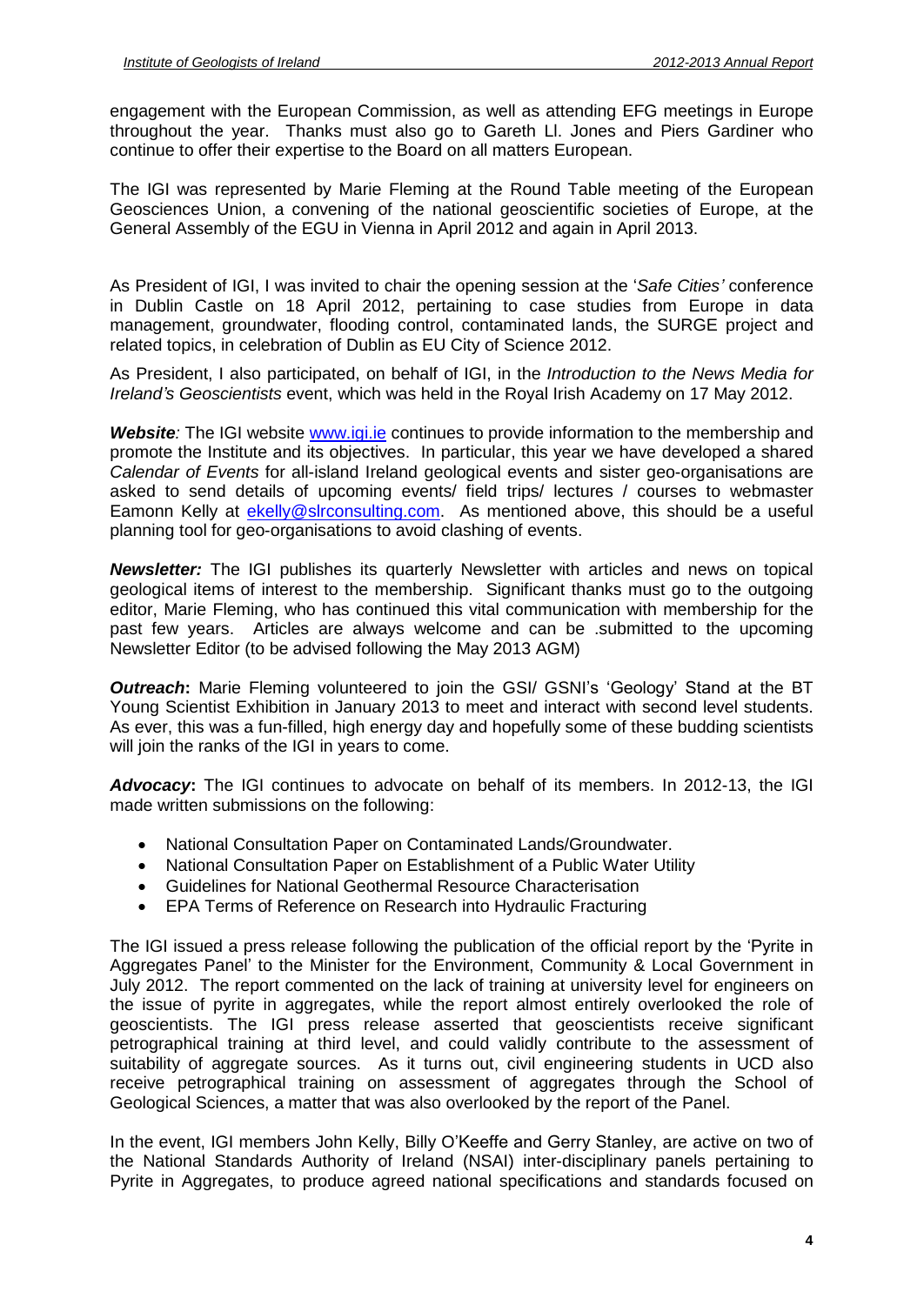engagement with the European Commission, as wellas attending EFG meetings in Europe throughout the year. Thanks must also go to Gareth Ll. Jones and Piers Gardiner who continue to offer their expertise to the Board on all matters European.

The IGI was represented by Marie Fleming at the Round Table meeting of the European Geosciences Union, a convening of the national geoscientific societies of Europe, at the General Assembly of the EGU in Vienna in April 2012 and again in April 2013.

As President of IGI, I was invited to chair the opening session at the 'Safe Cities' conference in Dublin Castle on 18 April 2012, pertaining to case studies from Europe in data management, groundwater, flooding control, contaminated lands, the SURGE project and related topics, in celebration of Dublin as EU City of Science 2012.

As President, I also participated, on behalf of IGI, in the *Introduction to the News Media for* related topics, in celebration of Dublin as EU City of Science 2012.<br>As President, I also participated, on behalf of IGI, in the *Introduction to the News Media for*<br>*Ireland's Geoscientists* event, which was held in the R

**Website**: The IGI website [www.igi.ie](http://www.igi.ie) continues to provide information to the membership and promote the Institute and its objectives. In particular, this year we have developed a shared Calendar of Events for all-island Ireland geological events and sister geo-organisations are asked to send details of upcoming events/ field trips/ lectures / courses to webmaster Eamonn Kelly at [ekelly@slrconsulting.com.](mailto:ekelly@slrconsulting.com) As mentioned above, this should be a useful planning tool for geo-organisations to avoid clashing of events.

**Newsletter:** The IGI publishes its quarterly Newsletter with articles and news on topical geological items of interest to the membership. Significant thanks must go to the outgoing editor, Marie Fleming, who has continued this vital communication with membership for the past few years. Articles are always welcome and can be .submitted to the upcoming Newsletter Editor (to be advised following the May 2013 AGM)

**Outreach:** Marie Fleming volunteered to join the GSI/ GSNI's 'Geology' Stand at the BT Young Scientist Exhibition in January 2013 to meet and interact with second level students. As ever, this was a fun-filled, high energy day and hopefully some of these budding scientists will join the ranks of the IGI in years to come.

**Advocacy:** The IGI continues to advocate on behalf of its members. In 2012-13, the IGI made written submissions on the following:

- National Consultation Paper on Contaminated Lands/Groundwater.
- National Consultation Paper on Establishment of a Public Water Utility
- Guidelines for National Geothermal Resource Characterisation
- EPA Terms of Reference on Research into Hydraulic Fracturing

• EPA Terms of Reference on Research into Hydraulic Fracturing<br>The IGI issued a press release following the publication of the official report by the 'Pyrite in The IGI issued a press release following the publication of the official report by the 'Pyrite in<br>Aggregates Panel' to the Minister for the Environment, Community & Local Government in July 2012. The report commented on the lack of training at university level for engineers on the issue of pyrite in aggregates, while the report almost entirely overlooked the role of geoscientists. The IGI press release asserted that geoscientists receive significant petrographical training at third level, and could validly contribute to the assessment of suitability of aggregate sources. As it turns out, civil engineering students in UCD also receive petrographical training on assessment of aggregates through the School of Geological Sciences, a matter that was also overlooked by the report of the Panel.

In the event, IGI members John Kelly, Billy O'Keeffe and Gerry Stanley, are active on two of the National Standards Authority of Ireland (NSAI) inter-disciplinary panels pertaining to Pyrite in Aggregates, to produce agreed national specifications and standards focused on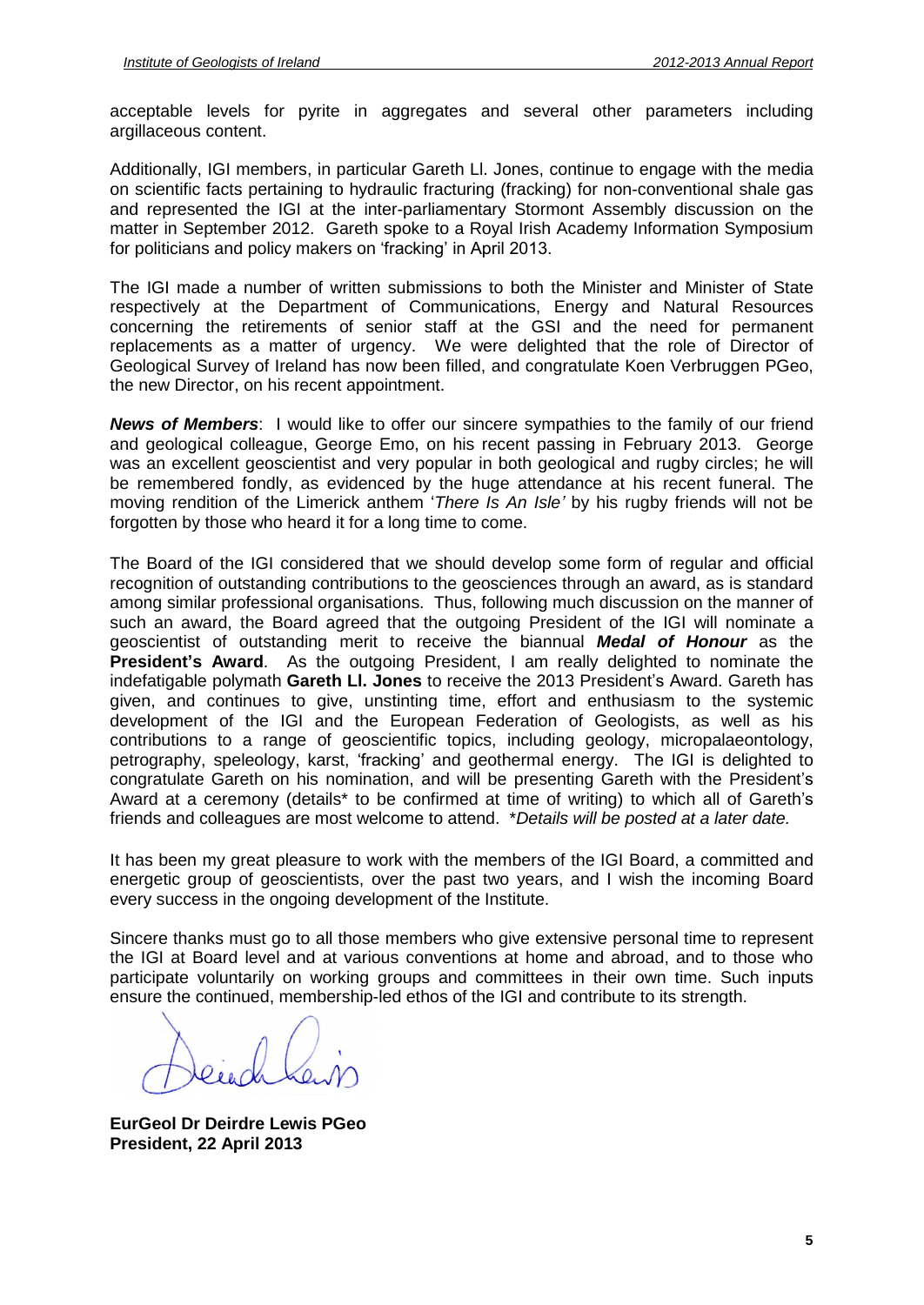acceptable levels for pyrite in aggregates and several other parameters including argillaceous content.

Additionally, IGI members, in particular Gareth Ll. Jones, continue to engage with the media on scientific facts pertaining to hydraulic fracturing (fracking) for non-conventional shale gas and represented the IGI at the inter-parliamentary Stormont Assembly discussion on the matter in September 2012. Gareth spoke to a Royal Irish Academy Information Symposium for politicians and policy makers on 'fracking' i matter in September 2012. Gareth spoke to a Royal Irish Academy Information Symposium

The IGI made a number of written submissions to both the Minister and Minister of State respectively at the Department of Communications, Energy and Natural Resources concerning the retirements of senior staff at the GSI and the need for permanent replacements as a matter of urgency. We were delighted that the role of Director of Geological Survey of Ireland has now been filled, and congratulate Koen Verbruggen PGeo, the new Director, on his recent appointment.

**News of Members**: I would like to offer our sincere sympathies to the family of our friend and geological colleague, George Emo, on his recent passing in February 2013. George was an excellent geoscientist and very popular in both geological and rugby circles; he will<br>be remembered fondly, as evidenced by the huge attendance at his recent funeral. The<br>moving rendition of the Limerick anthem *'Th* be remembered fondly, as evidenced by the huge attendance at his recent funeral. The forgotten by those who heard it for a long time to come.

The Board of the IGI considered that we should develop some form of regular and official recognition of outstanding contributions to the geosciences through an award, as is standard among similar professional organisations. Thus, following much discussion on the manner of such an award, the Board agreed that the outgoing President of the IGI will nominate a geoscientist of outstanding merit to receive the biannual **Medal of Honour** as the **President** is a ward, the Board agreed that the outgoing President of the IGI will nominate a geoscientist of outstanding merit to receive the biannual **Medal of Honour** as the **President's Award**. As the outgoing Preside **Example 19 September 19 September 19 September 19 September 19 September 19 September 19 September 2013 President's Award. As the outgoing President, I am really delighted to nominate the indefatigable polymath <b>Gareth LI** given, and continues to give, unstinting time, effort and enthusiasm to the systemic development of the IGI and the European Federation of Geologists, as well as his contributions to a range of geoscientific topics, including geology, micropalaeontology, petrography, speleology, karst, 'fracking' and geoth contributions to a range of geoscientific topics, including geology, micropalaeontology, petrography, speleology, karst, 'fracking' and geothermal energy. The IGI is delighted to congratulate Gareth on his nomination, and petrography, speleology, karst, 'fracking' and geothermal energy. The IGI is delighted to congratulate Gareth on his nomination, and will be presenting Gareth with the President's Award at a ceremony (details\* to be confir friends and colleagues are most welcome to attend. \*Details will be posted at a later date.

It has been my great pleasure to work with the members of the IGI Board, a committed and energetic group of geoscientists, over the past two years, and I wish the incoming Board every success in the ongoing development of the Institute.

Sincere thanks must go to all those members who give extensive personal time to represent the IGI at Board level and at various conventions at home and abroad, and to those who participate voluntarily on working groups and committees in their own time. Such inputs ensure the continued, membership-led ethos of the IGI and contribute to its strength.

**EurGeol Dr Deirdre Lewis PGeo President, 22 April 2013**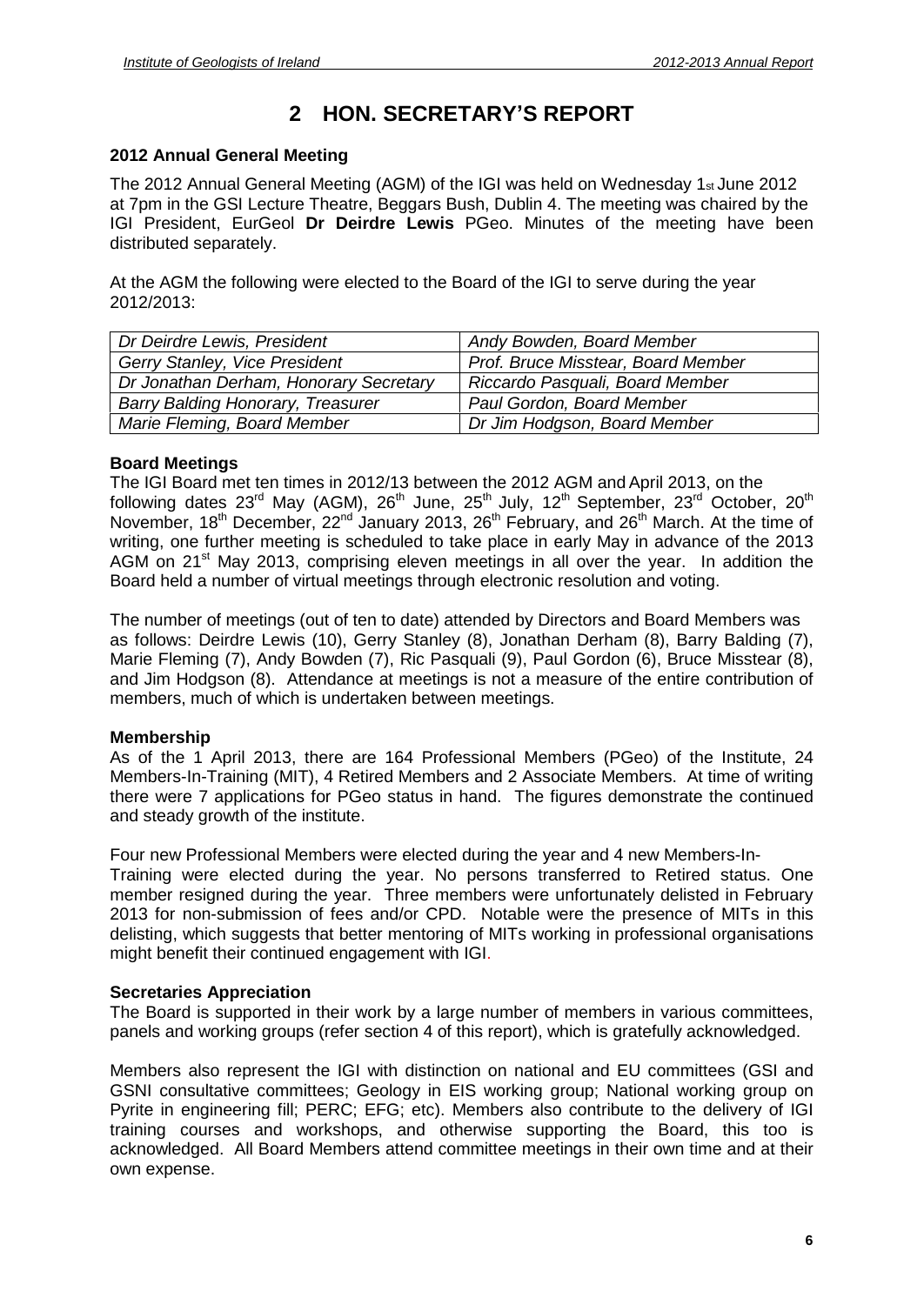# **<sup>2</sup> HON. SECRETARYí<sup>S</sup> REPORT**

#### **2012 Annual General Meeting**

The 2012 Annual General Meeting (AGM) of the IGI was held on Wednesday 1st June 2012 at 7pm in the GSI Lecture Theatre, Beggars Bush, Dublin 4. The meeting was chaired by the IGI President, EurGeol **Dr Deirdre Lewis** PGeo. Minutes of the meeting have been distributed separately.

At the AGM the following were elected to the Board of the IGI to serve during the year 2012/2013:

| Dr Deirdre Lewis, President              | Andy Bowden, Board Member          |
|------------------------------------------|------------------------------------|
| Gerry Stanley, Vice President            | Prof. Bruce Misstear, Board Member |
| Dr Jonathan Derham, Honorary Secretary   | Riccardo Pasquali, Board Member    |
| <b>Barry Balding Honorary, Treasurer</b> | Paul Gordon, Board Member          |
| Marie Fleming, Board Member              | Dr Jim Hodgson, Board Member       |

# **Board Meetings**

The IGI Board met ten times in 2012/13 between the 2012 AGM and April 2013, on the following dates 23<sup>rd</sup> May (AGM), 26<sup>th</sup> June, 25<sup>th</sup> July, 12<sup>th</sup> September, 23<sup>rd</sup> October, 20<sup>th</sup> November, 18<sup>th</sup> December, 22<sup>nd</sup> January 2013, 26<sup>th</sup> February, and 26<sup>th</sup> March. At the time of writing, one further meeting is scheduled to take place in early May in advance of the 2013 AGM on 21<sup>st</sup> May 2013, comprising eleven meetings in all over the year. In addition the Board held a number of virtual meetings through electronic resolution and voting.

The number of meetings (out of ten to date) attended by Directors and Board Members was as follows: Deirdre Lewis (10), Gerry Stanley (8), Jonathan Derham (8), Barry Balding (7), Marie Fleming (7), Andy Bowden (7), Ric Pasquali (9), Paul Gordon (6), Bruce Misstear (8), and Jim Hodgson (8). Attendance at meetings is not a measure of the entire contribution of members, much of which is undertaken between meetings.

# **Membership**

As of the 1 April2013, there are 164 Professional Members (PGeo) of the Institute, 24 Members-In-Training (MIT), 4 Retired Members and 2 Associate Members. At time of writing there were 7 applications for PGeo status in hand. The figures demonstrate the continued and steady growth of the institute.

Four new Professional Members were elected during the year and 4 new Members-In- Training were elected during the year. No persons transferred to Retired status. One

member resigned during the year. Three members were unfortunately delisted in February 2013 for non-submission of fees and/or CPD. Notable were the presence of MITs in this delisting, which suggests that better mentoring of MITs working in professional organisations might benefit their continued engagement with IGI.

# **Secretaries Appreciation**

The Board is supported in their work by a large number of members in various committees, panels and working groups (refer section 4 of this report), which is gratefully acknowledged.

Members also represent the IGI with distinction on national and EU committees (GSI and GSNI consultative committees; Geology in EIS working group; National working group on Pyrite in engineering fill; PERC; EFG; etc). Members also contribute to the delivery of IGI training courses and workshops, and otherwise supporting the Board, this too is acknowledged. All Board Members attend committee meetings in their own time and at their own expense.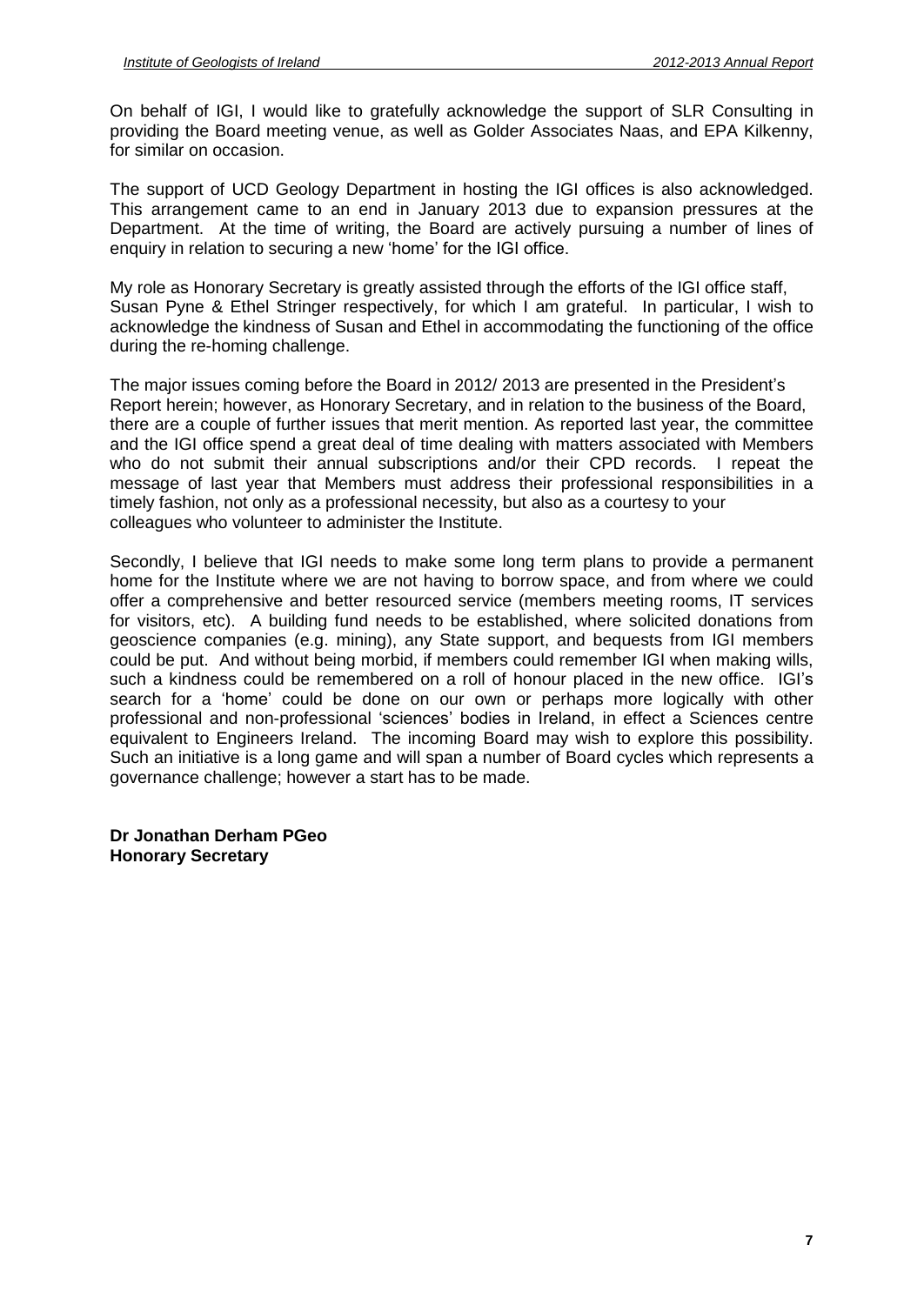On behalf of IGI, I would like to gratefully acknowledge the support of SLR Consulting in providing the Board meeting venue, as wellas Golder Associates Naas, and EPA Kilkenny, for similar on occasion.

The support of UCD Geology Department in hosting the IGI offices is also acknowledged. This arrangement came to an end in January 2013 due to expansion pressures at the Department. At the time of writing, the Board are actively pursuing a number of lines of enquiry in relation to securing a new 'home' for th Department. At the time of writing, the Board are actively pursuing a number of lines of

My role as Honorary Secretary is greatly assisted through the efforts of the IGI office staff, Susan Pyne & Ethel Stringer respectively, for which I am grateful. In particular, I wish to acknowledge the kindness of Susan and Ethel in accommodating the functioning of the office during the re-homing challenge.

The major issues coming before the Board in 2012/ <sup>2013</sup> are presented in the Presidentí<sup>s</sup> Report herein; however, as Honorary Secretary, and in relation to the business of the Board, there are a couple of further issues that merit mention. As reported last year, the committee and the IGI office spend a great deal of time dealing with matters associated with Members who do not submit their annual subscriptions and/or their CPD records. I repeat the message of last year that Members must address their professional responsibilities in a timely fashion, not only as a professional necessity, but also as a courtesy to your colleagues who volunteer to administer the Institute.

Secondly, I believe that IGI needs to make some long term plans to provide a permanent home for the Institute where we are not having to borrow space, and from where we could offer a comprehensive and better resourced service (members meeting rooms, IT services for visitors, etc). A building fund needs to be established, where solicited donations from geoscience companies (e.g. mining), any State support, and bequests from IGI members could be put. And without being morbid, if members could remember IGI when making wills, such a kindness companies (e.g. mining), any State support, and bequests from IGI members<br>could be put. And without being morbid, if members could remember IGI when making wills,<br>such a kindness could be remembered on a ro search for a 'home' could be gone on a roll of honour placed in the new office. IGI's<br>such a kindness could be remembered on a roll of honour placed in the new office. IGI's<br>search for a 'home' could be done on our own or such a kindness could be remembered on a roll of honour placed in the new office. IGI's search for a 'home' could be done on our own or perhaps more logically with other professional and non-professional 'sciences' bodies equivalent to Engineers Ireland. The incoming Board may wish to explore this possibility. Such an initiative is a long game and will span a number of Board cycles which represents a governance challenge; however a start has to be made.

**Dr Jonathan Derham PGeo Honorary Secretary**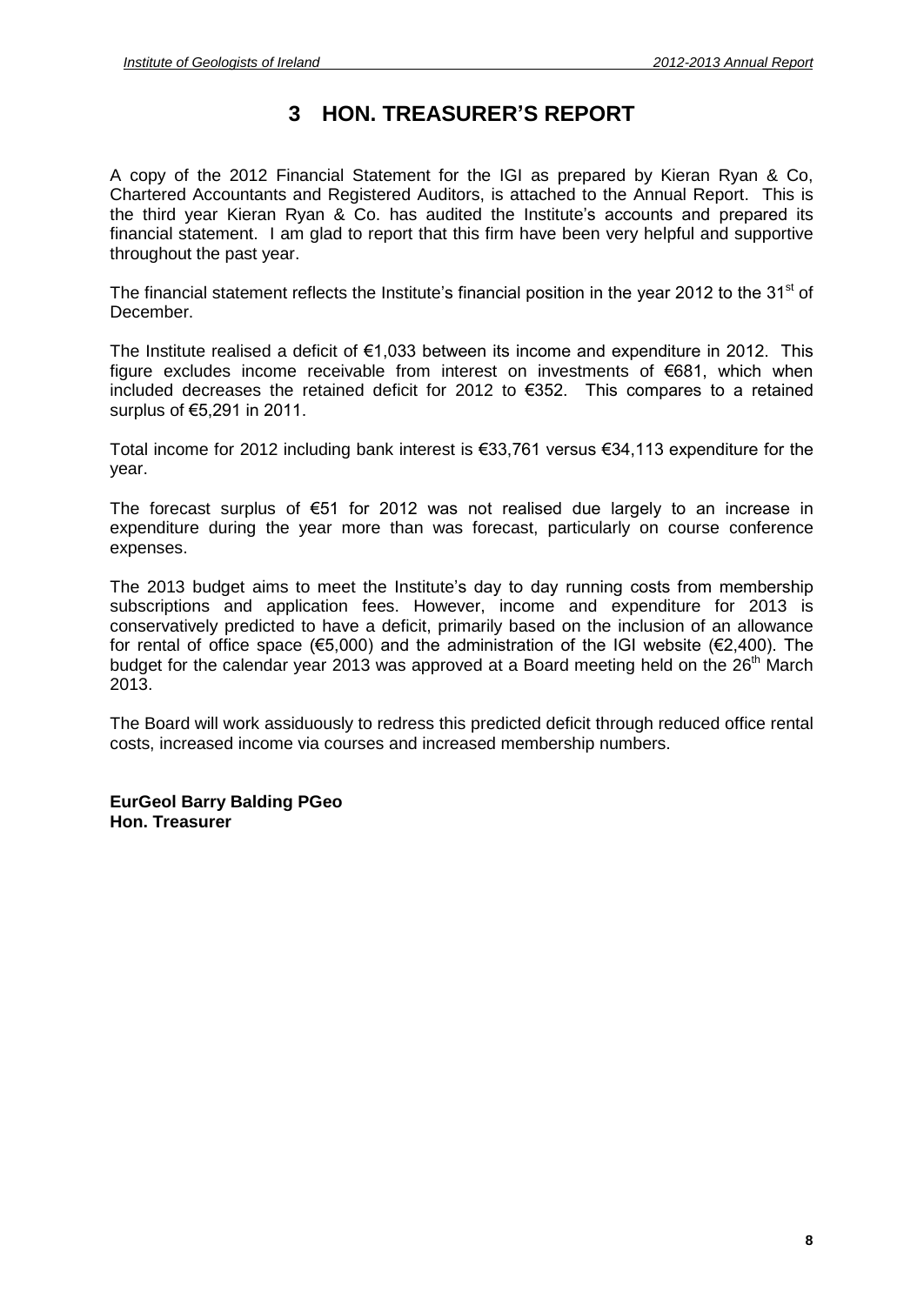# **<sup>3</sup> HON. TREASURERí<sup>S</sup> REPORT**

A copy of the 2012 Financial Statement for the IGI as prepared by Kieran Ryan & Co,<br>Chartered Accountants and Registered Auditors, is attached to the Annual Report. This is<br>the third year Kieran Ryan & Co. has audited the Chartered Accountants and Registered Auditors, is attached to the Annual Report. This is financial statement. I am glad to report that this firm have been very helpful and supportive throughout the past year. The financial statement reflects the Institute's financial position in the year 2012 to the 31<sup>st</sup> of

December. The Institute realised a deficit of €1,033 between its income and expenditure in 2012. This<br>The Institute realised a deficit of €1,033 between its income and expenditure in 2012. This

– coomsom<br>The Institute realised a deficit of €1,033 between its income and expenditure in 2012. This<br>figure excludes income receivable from interest on investments of €681, which when The Institute realised a deficit of  $\epsilon$ 1,033 between its income and expenditure in 2012. This figure excludes income receivable from interest on investments of  $\epsilon$ 681, which when included decreases the retained deficit figure excludes income receivable from interest on investments of €681, which when included decreases the retained deficit for 2012 to €352. This compares to a retained surplus of €5,291 in 2011.

Total income for 2012 including bank interest is  $\epsilon$ 33,761 versus  $\epsilon$ 34,113 expenditure for the year.

The forecast surplus of  $\epsilon$ 51 for 2012 was not realised due largely to an increase in expenditure during the year more than was forecast, particularly on course conference expenses.

The <sup>2013</sup> budget aims to meet the Instituteís day to day running costs from membership subscriptions and application fees. However, income and expenditure for 2013 is<br>conservatively predicted to have a deficit, primarily based on the inclusion of an allowance<br>for rental of office space ( $\epsilon$ 5,000) and the a conservatively predicted to have a deficit, primarily based on the inclusion of an allowance budget for the calendar year 2013 was approved at a Board meeting held on the 26<sup>th</sup> March 2013.

The Board will work assiduously to redress this predicted deficit through reduced office rental costs, increased income via courses and increased membership numbers.

**EurGeol Barry Balding PGeo Hon. Treasurer**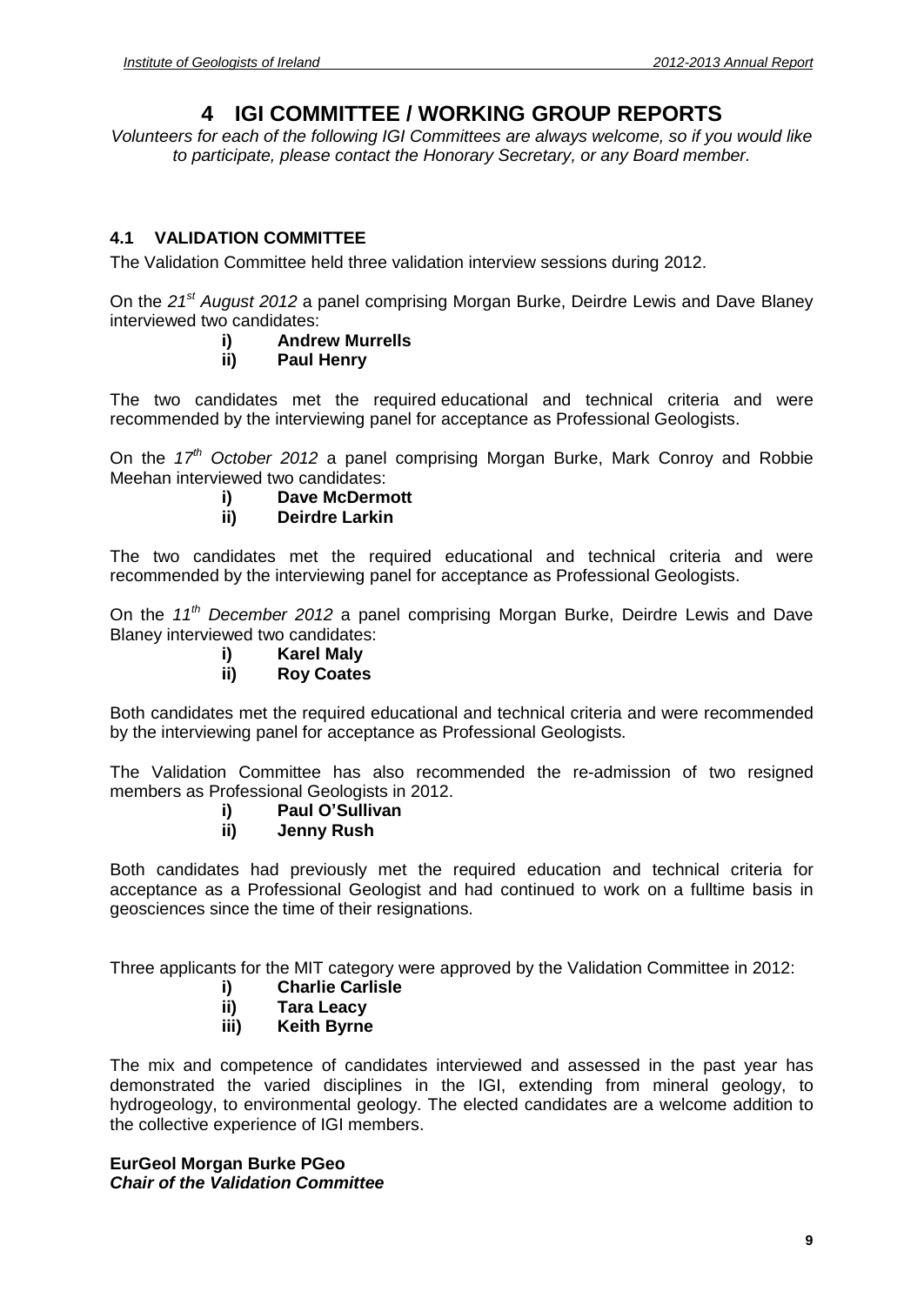# **4 IGI COMMITTEE / WORKING GROUP REPORTS**

Volunteers for each of the following IGI Committees are always welcome, so if you would like to participate, please contact the Honorary Secretary, or any Board member.

# **4.1 VALIDATION COMMITTEE**

The Validation Committee held three validation interview sessions during 2012.

On the 21<sup>st</sup> August 2012 a panel comprising Morgan Burke, Deirdre Lewis and Dave Blaney interviewed two candidates:

# **i) Andrew Murrells**

# **ii) Paul Henry**

The two candidates met the required educational and technical criteria and were recommended by the interviewing panel for acceptance as Professional Geologists.

On the 17<sup>th</sup> October 2012 a panel comprising Morgan Burke, Mark Conroy and Robbie Meehan interviewed two candidates:

# **i) Dave McDermott**

# **ii) Deirdre Larkin**

The two candidates met the required educational and technical criteria and were recommended by the interviewing panel for acceptance as Professional Geologists.

On the 11<sup>th</sup> December 2012 a panel comprising Morgan Burke, Deirdre Lewis and Dave Blaney interviewed two candidates:

# **i) Karel Maly**

# **ii) Roy Coates**

Both candidates met the required educational and technical criteria and were recommended by the interviewing panel for acceptance as Professional Geologists.

The Validation Committee has also recommended the re-admission of two resigned **i) Paul <sup>O</sup>íSullivan** members as Professional Geologists in 2012.

# **ii) Jenny Rush**

Both candidates had previously met the required education and technical criteria for acceptance as a Professional Geologist and had continued to work on a fulltime basis in geosciences since the time of their resignations.

Three applicants for the MIT category were approved by the Validation Committee in 2012:

# **i) Charlie Carlisle**

- **ii) Tara Leacy**
- **iii) Keith Byrne**

The mix and competence of candidates interviewed and assessed in the past year has demonstrated the varied disciplines in the IGI, extending from mineral geology, to hydrogeology, to environmental geology. The elected candidates are a welcome addition to the collective experience of IGI members.

# **EurGeol Morgan Burke PGeo Chair of the Validation Committee**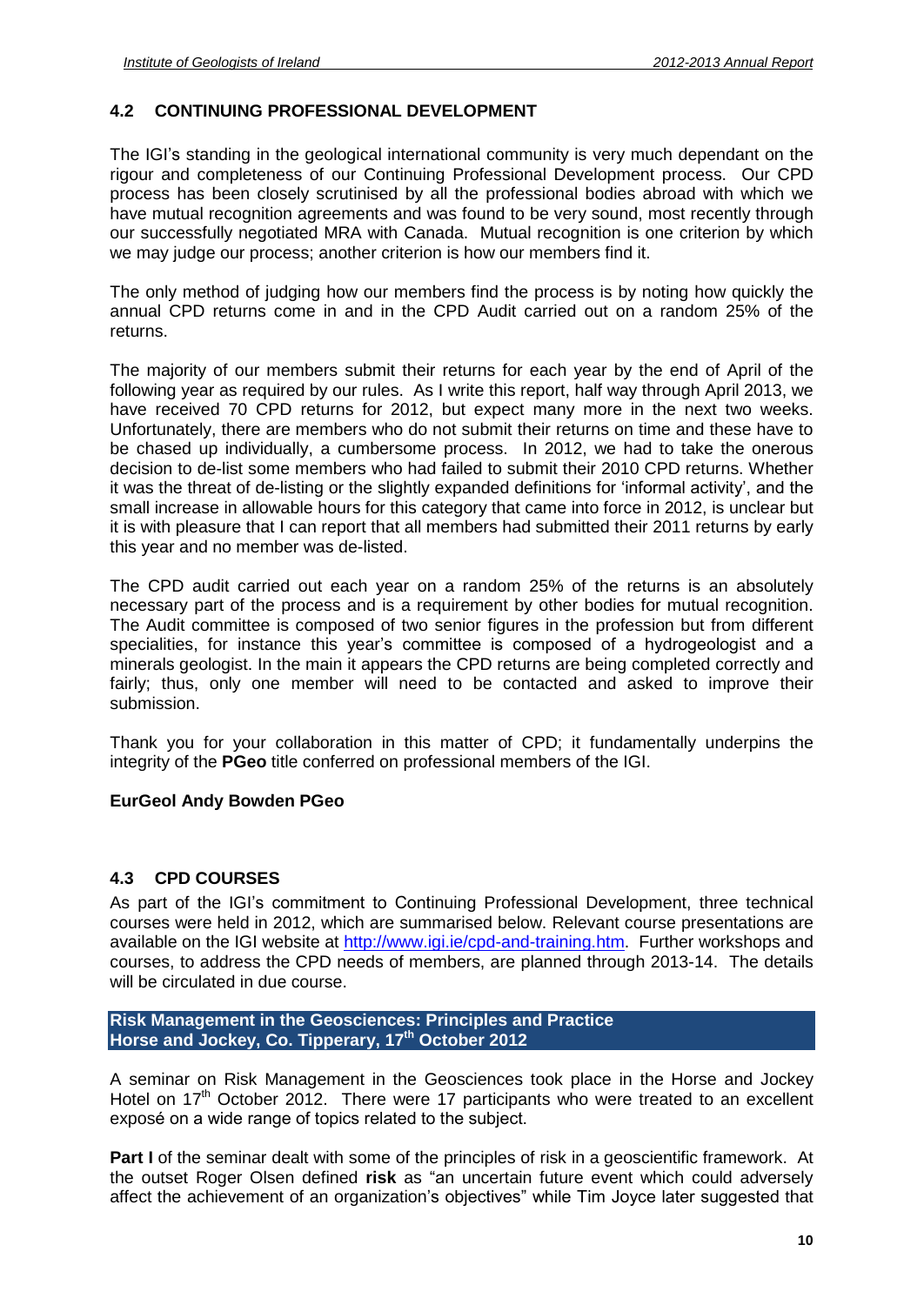# **4.2 CONTINUING PROFESSIONAL DEVELOPMENT**

The IGI's standing in the geological international community is very much dependant on the rigour and completeness of our Continuing Professional Development process. Our CPD process has been closely scrutinised by all the professional bodies abroad with which we have mutual recognition agreements and was found to be very sound, most recently through our successfully negotiated MRA with Canada. Mutual recognition is one criterion by which we may judge our process; another criterion is how our members find it.

The only method of judging how our members find the process is by noting how quickly the annual CPD returns come in and in the CPD Audit carried out on a random 25% of the returns.

The majority of our members submit their returns for each year by the end of April of the following year as required by our rules. As I write this report, half way through April 2013, we have received 70 CPD returns for 2012, but expect many more in the next two weeks. Unfortunately, there are members who do not submit their returns on time and these have to be chased up individually, a cumbersome process. In 2012, we had to take the onerous decision to de-list some members who had failed to submit their 2010 CPD returns. Whether In 2012, we had to take the onerous<br>decision to de-list some members who had failed to submit their 2010 CPD returns. Whether<br>it was the threat of de-listing or the slightly expanded definitions for 'informal activity', an small increase in allowable hours for this category that came into force in 2012, is unclear but it is with pleasure that I can report that all members had submitted their 2011 returns by early this year and no member was de-listed.

The CPD audit carried out each year on a random 25% of the returns is an absolutely necessary part of the process and is a requirement by other bodies for mutual recognition. The Audit committee is composed of two senior figures in the profession but from different specialities, for instance this year's committee is composed of a hydrogeologist and a minerals geologist. In the main it appears the CPD returns are being completed correctly and fairly; thus, only one member will need to be contacted and asked to improve their submission.

Thank you for your collaboration in this matter of CPD; it fundamentally underpins the integrity of the **PGeo** title conferred on professional members of the IGI.

# **EurGeol Andy Bowden PGeo**

# **4.3 CPD COURSES**

As part of the IGIís commitment to Continuing Professional Development, three technical courses were held in 2012, which are summarised below. Relevant course presentations are available on the IGI website at [http://www.igi.ie/cpd-and-training.htm.](http://www.igi.ie/cpd-and-training.htm) Further workshops and courses, to address the CPD needs of members, are planned through 2013-14. The details will be circulated in due course.

**Risk Management in the Geosciences: Principles and Practice Horse and Jockey, Co. Tipperary, 17 th October 2012**

A seminar on Risk Management in the Geosciences took place in the Horse and Jockey<br>Hotel on 17<sup>th</sup> October 2012. There were 17 participants who were treated to an excellent<br>exposé on a wide range of topics related to the s Hotel on 17<sup>th</sup> October 2012. There were 17 participants who were treated to an excellent

**Part I** of the seminar dealt with some of the principles of risk in a geoscientific framework. At the outset a mast cange of teptoch statest to the outgoot.<br>**Part I** of the seminar dealt with some of the principles of risk in a geoscientific framework. At<br>the outset Roger Olsen defined **risk** as "an uncertain future ev Part I of the seminar dealt with some of the principles of risk in a geoscientific framework. At<br>the outset Roger Olsen defined risk as "an uncertain future event which could adversely<br>affect the achievement of an organiza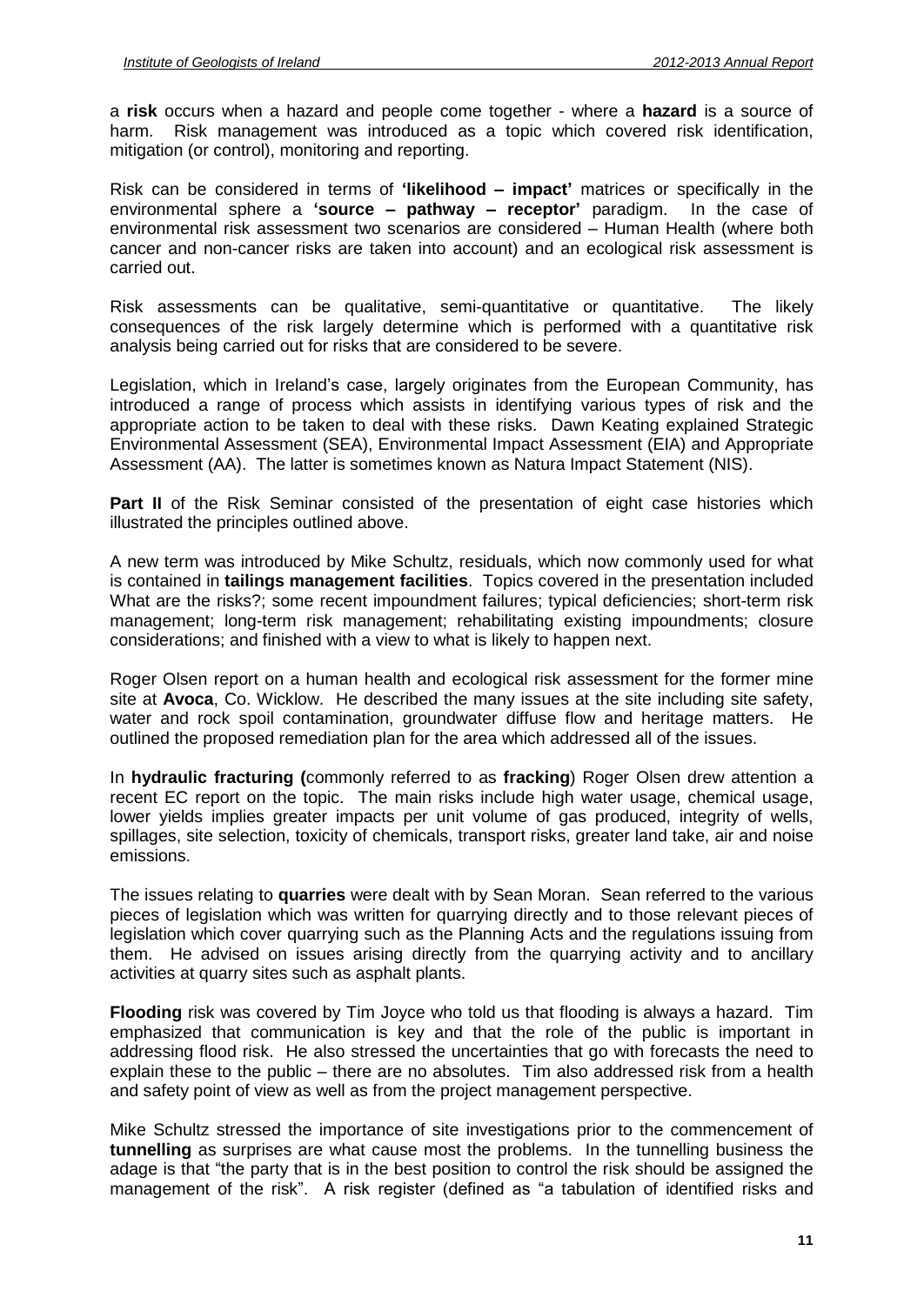a **risk** occurs when a hazard and people come together - where a **hazard** is a source of harm. Risk management was introduced as a topic which covered risk identification, mitigation (or control), monitoring and reporting. Risk can be considered in terms of **'likelihood** – **impact'** matrices or specifically in the<br>Risk can be considered in terms of **'likelihood** – **impact'** matrices or specifically in the

ending the construction measurement of "likelihood – impact' matrices or specifically in the<br> **Risk can be considered in terms of 'likelihood – impact' matrices or specifically in the<br>
environmental sphere a 'source – path** environmental sphere a 'source - pathway - receptor' paradigm. In the case of environmental risk assessment two scenarios are considered - Human Health (where both cancer and non-cancer risks are taken into account) and an ecological risk assessment is carried out.

Risk assessments can be qualitative, semi-quantitative or quantitative. The likely consequences of the risk largely determine which is performed with a quantitative risk analysis being carried out for risks that are considered to be severe.

Legislation, which in Ireland's case, largely originates from the European Community, has introduced a range of process which assists in identifying various types of risk and the appropriate action to be taken to deal with these risks. Dawn Keating explained Strategic Environmental Assessment (SEA), Environmental Impact Assessment (EIA) and Appropriate Assessment (AA). The latter is sometimes known as Natura Impact Statement (NIS).

**Part II** of the Risk Seminar consisted of the presentation of eight case histories which illustrated the principles outlined above.

A new term was introduced by Mike Schultz, residuals, which now commonly used for what is contained in **tailings management facilities**. Topics covered in the presentation included What are the risks?; some recent impoundment failures; typical deficiencies; short-term risk management; long-term risk management; rehabilitating existing impoundments; closure considerations; and finished with a view to what is likely to happen next.

Roger Olsen report on a human health and ecological risk assessment for the former mine site at **Avoca**, Co. Wicklow. He described the many issues at the site including site safety, water and rock spoil contamination, groundwater diffuse flow and heritage matters. He outlined the proposed remediation plan for the area which addressed all of the issues.

In **hydraulic fracturing (**commonly referred to as **fracking**) Roger Olsen drew attention a recent EC report on the topic. The main risks include high water usage, chemical usage, lower yields implies greater impacts per unit volume of gas produced, integrity of wells, spillages, site selection, toxicity of chemicals, transport risks, greater land take, air and noise emissions.

The issues relating to **quarries** were dealt with by Sean Moran. Sean referred to the various pieces of legislation which was written for quarrying directly and to those relevant pieces of legislation which cover quarrying such as the Planning Acts and the regulations issuing from them. He advised on issues arising directly from the quarrying activity and to ancillary activities at quarry sites such as asphalt plants.

**Flooding** risk was covered by Tim Joyce who told us that flooding is always a hazard. Tim emphasized that communication is key and that the role of the public is important in addressing flood risk. He also stressed the uncertainties that go with forecasts the need to explain these to the public – there are no absolutes. Tim also addressed risk from a health and safety point of view as well as from the project management perspective.

Mike Schultz stressed the importance of site investigations prior to the commencement of<br>tunnelling as surprises are what cause most the problems. In the tunnelling business the<br>adage is that "the party that is in the best **tunnelling** as surprises are what cause most the problems. In the tunnelling business the adage is that "the party that is in the best position to control the risk should be assigned the management of the risk". A risk register (defined as "a tabulation of identified risks and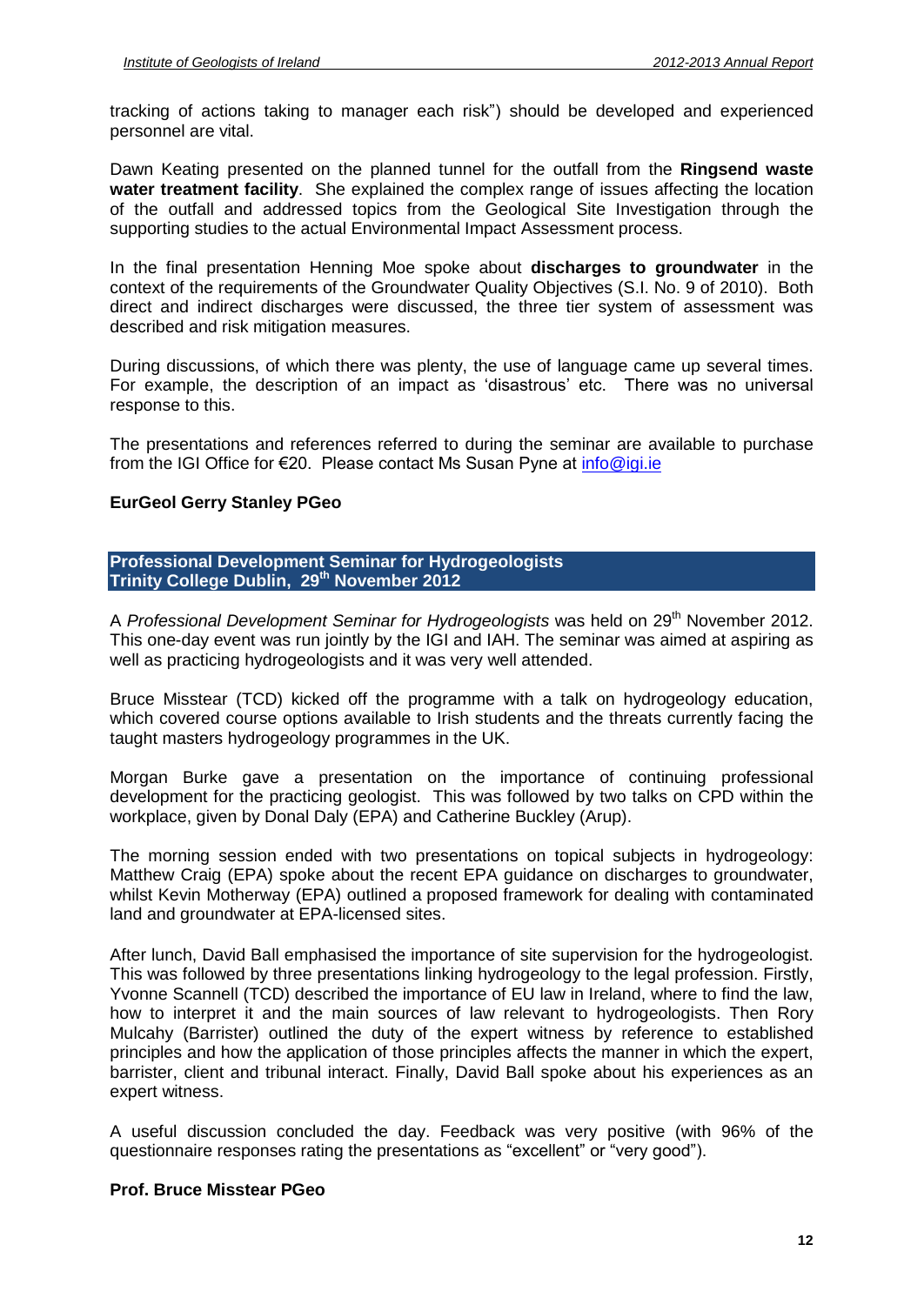tracking of actions taking to manager each risk") should be developed and experienced personnel are vital.

Dawn Keating presented on the planned tunnel for the outfall from the **Ringsend waste water treatment facility**. She explained the complex range of issues affecting the location of the outfall and addressed topics from the Geological Site Investigation through the supporting studies to the actual Environmental Impact Assessment process.

In the final presentation Henning Moe spoke about **discharges to groundwater** in the context of the requirements of the Groundwater Quality Objectives (S.I. No. 9 of 2010). Both direct and indirect discharges were discussed, the three tier system of assessment was described and risk mitigation measures.

During discussions, of which there was plenty, the use of language came up several times. For example, the description of an impact as 'disastrous' etc. There was no universal

response to this.<br>The presentations and references referred to during the seminar are available to purchase ്ടുംപാട് രാണ്ട്.<br>The presentations and references referred to during the seminar are available to<br>from the IGI Office for €20. Please contact Ms Susan Pyne at <u>[info@igi.ie](mailto:info@igi.ie)</u>

#### **EurGeol Gerry Stanley PGeo**

#### **Professional Development Seminar for Hydrogeologists Trinity College Dublin, 29 th November 2012**

A Professional Development Seminar for Hydrogeologists was held on 29<sup>th</sup> November 2012. This one-day event was run jointly by the IGI and IAH. The seminar was aimed at aspiring as well as practicing hydrogeologists and it was very well attended.

Bruce Misstear (TCD) kicked off the programme with a talk on hydrogeology education, which covered course options available to Irish students and the threats currently facing the taught masters hydrogeology programmes in the UK.

Morgan Burke gave a presentation on the importance of continuing professional development for the practicing geologist. This was followed by two talks on CPD within the workplace, given by Donal Daly (EPA) and Catherine Buckley (Arup).

The morning session ended with two presentations on topical subjects in hydrogeology: Matthew Craig (EPA) spoke about the recent EPA guidance on discharges to groundwater, whilst Kevin Motherway (EPA) outlined a proposed framework for dealing with contaminated land and groundwater at EPA-licensed sites.

After lunch, David Ball emphasised the importance of site supervision for the hydrogeologist. This was followed by three presentations linking hydrogeology to the legal profession. Firstly, Yvonne Scannell (TCD) described the importance of EU law in Ireland, where to find the law, how to interpret it and the main sources of law relevant to hydrogeologists. Then Rory Mulcahy (Barrister) outlined the duty of the expert witness by reference to established principles and how the application of those principles affects the manner in which the expert, barrister, client and tribunal interact. Finally, David Ball spoke about his experiences as an expert witness.

A useful discussion concluded the day. Feedback was very positive (with 96% of the onpont minteer<br>A useful discussion concluded the day. Feedback was very positive (with 96<br>questionnaire responses rating the presentations as "excellent" or "very good").

#### **Prof. Bruce Misstear PGeo**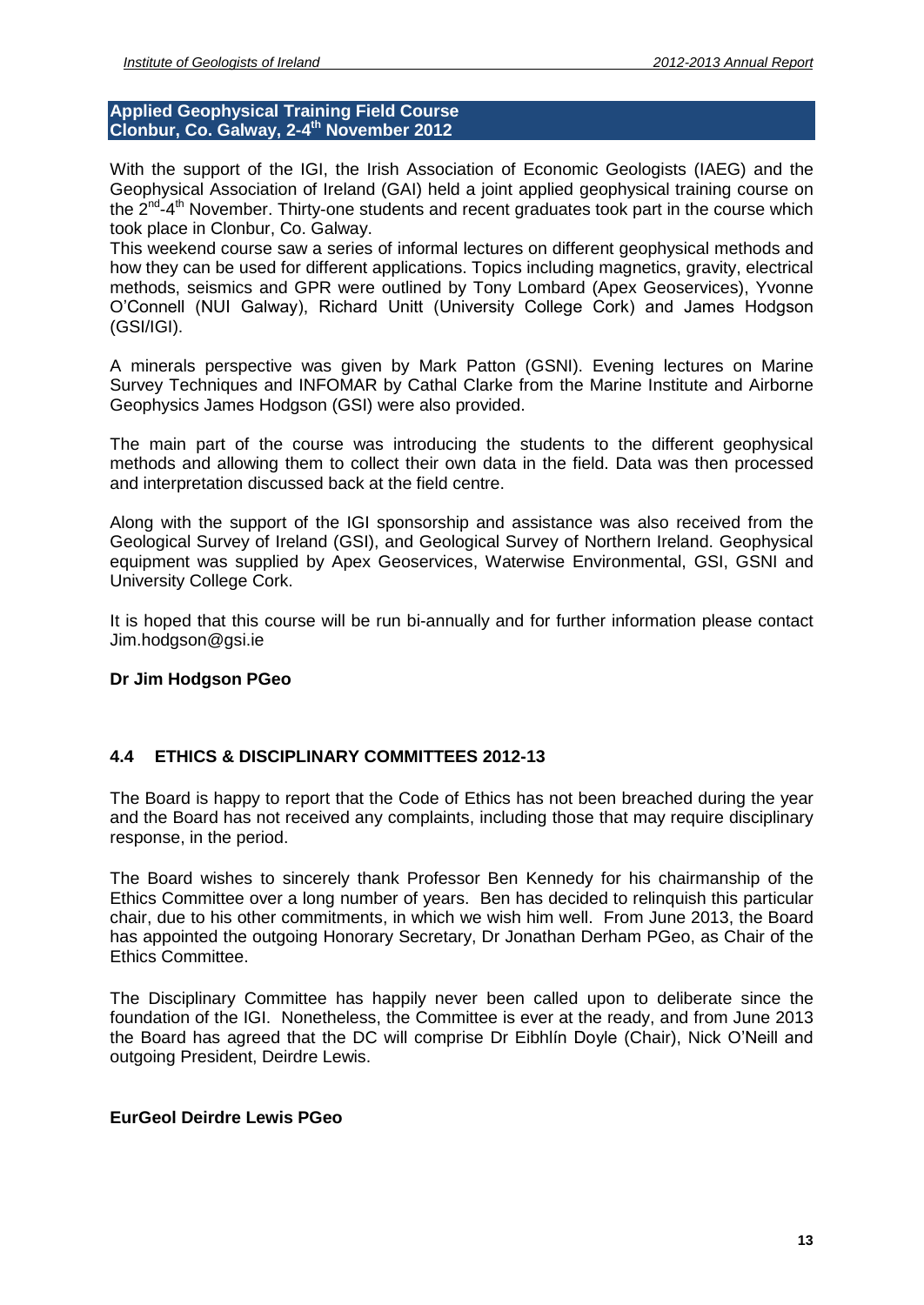**Applied Geophysical Training Field Course Clonbur, Co. Galway, 2-4 th November 2012**

With the support of the IGI, the Irish Association of Economic Geologists (IAEG) and the Geophysical Association of Ireland (GAI) held a joint applied geophysical training course on the 2<sup>nd</sup>-4<sup>th</sup> November. Thirty-one students and recent graduates took part in the course which took place in Clonbur, Co. Galway.

This weekend course saw a series of informal lectures on different geophysical methods and how they can be used for different applications. Topics including magnetics, gravity, electrical methods, seismics and GPR were outlined by Tony Lombard (Apex Geoservices), Yvonne The Treation of they can be used for different applications. Topics including magnetics, gravity, electrical<br>methods, seismics and GPR were outlined by Tony Lombard (Apex Geoservices), Yvonne<br>O'Connell (NUI Galway), Richar (GSI/IGI).

A minerals perspective was given by Mark Patton (GSNI). Evening lectures on Marine Survey Techniques and INFOMAR by Cathal Clarke from the Marine Institute and Airborne Geophysics James Hodgson (GSI) were also provided.

The main part of the course was introducing the students to the different geophysical methods and allowing them to collect their own data in the field. Data was then processed and interpretation discussed back at the field centre.

Along with the support of the IGI sponsorship and assistance was also received from the Geological Survey of Ireland (GSI), and Geological Survey of Northern Ireland. Geophysical equipment was supplied by Apex Geoservices, Waterwise Environmental, GSI, GSNI and University College Cork.

It is hoped that this course will be run bi-annually and for further information please contact [Jim.hodgson@gsi.ie](mailto:Jim.hodgson@gsi.ie)

# **Dr Jim Hodgson PGeo**

# **4.4 ETHICS & DISCIPLINARY COMMITTEES 2012-13**

The Board is happy to report that the Code of Ethics has not been breached during the year and the Board has not received any complaints, including those that may require disciplinary response, in the period.

The Board wishes to sincerely thank Professor Ben Kennedy for his chairmanship of the Ethics Committee over a long number of years. Ben has decided to relinquish this particular chair, due to his other commitments, in which we wish him well. From June 2013, the Board has appointed the outgoing Honorary Secretary, Dr Jonathan Derham PGeo, as Chair of the Ethics Committee.

The Disciplinary Committee has happily never been called upon to deliberate since the foundation of the IGI. Nonetheless, the Committee is ever at the ready, and from June 2013 the Board has agreed that the DC will comprise Dr Eibhlín Doyle (Chair), Nick O'Neill and outgoing President, Deirdre Lewis.

#### **EurGeol Deirdre Lewis PGeo**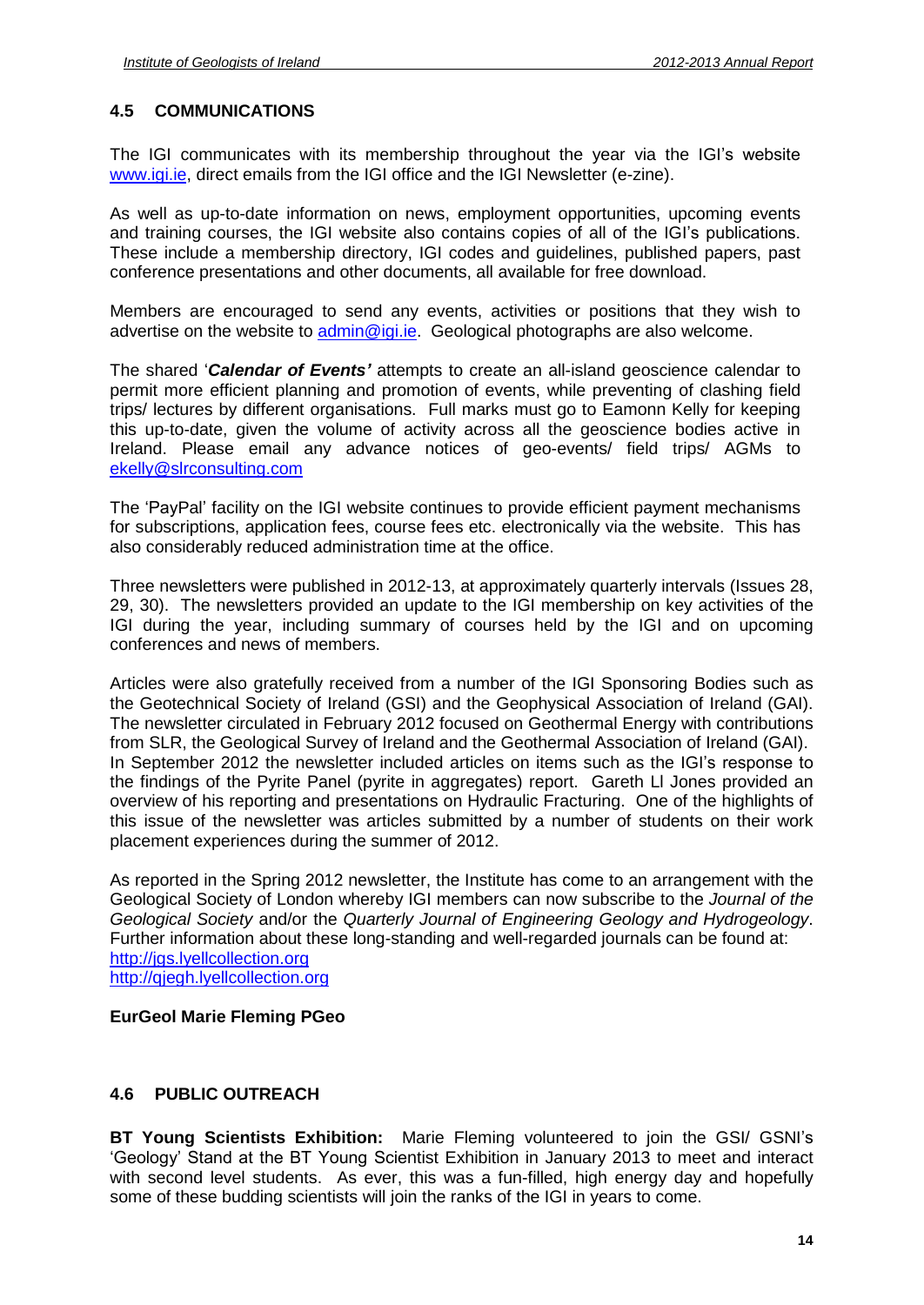# **4.5 COMMUNICATIONS**

The IGI communicates with its membership throughout the year via the IGIís website [www.igi.ie,](http://www.igi.ie) direct emails from the IGI office and the IGI Newsletter (e-zine).

As well as up-to-date information on news, employment opportunities, upcoming events and training courses, the IGI website also contains copies of all of the IGI's publications. These include a membership directory, IGI codes and guidelines, published papers, past conference presentations and other documents, all available for free download.

Members are encouraged to send any events, activities or positions that they wish to advertise on the website to [admin@igi.ie.](mailto:admin@igi.ie) Geological photographs are also welcome.

The shared <sup>ë</sup>**Calendar of Events***<sup>í</sup>* attempts to create an all-island geoscience calendar to permit more efficient planning and promotion of events, while preventing of clashing field trips/ lectures by different organisations. Full marks must go to Eamonn Kelly for keeping this up-to-date, given the volume of activity across all the geoscience bodies active in Ireland. Please email any advance notices of geo-events/ field trips/ AGMs to [ekelly@slrconsulting.com](mailto:ekelly@slrconsulting.com)

The 'PayPal' facility on the IGI website continues to provide efficient payment mechanisms for subscriptions, application fees, course fees etc. electronically via the website. This has also considerably reduced administration time at the office.

Three newsletters were published in 2012-13, at approximately quarterly intervals (Issues 28, 29, 30). The newsletters provided an update to the IGI membership on key activities of the IGI during the year, including summary of courses held by the IGI and on upcoming conferences and news of members.

Articles were also gratefully received from a number of the IGI Sponsoring Bodies such as the Geotechnical Society of Ireland (GSI) and the Geophysical Association of Ireland (GAI). The newsletter circulated in February 2012 focused on Geothermal Energy with contributions<br>from SLR, the Geological Survey of Ireland and the Geothermal Association of Ireland (GAI).<br>In September 2012 the newsletter includ from SLR, the Geological Survey of Ireland and the Geothermal Association of Ireland (GAI). the findings of the Pyrite Panel (pyrite in aggregates) report. Gareth Ll Jones provided an overview of his reporting and presentations on Hydraulic Fracturing. One of the highlights of this issue of the newsletter was articles submitted by a number of students on their work placement experiences during the summer of 2012.

As reported in the Spring 2012 newsletter, the Institute has come to an arrangement with the Geological Society of London whereby IGI members can now subscribe to the Journal of the Geological Society and/or the Quarterly Journal of Engineering Geology and Hydrogeology. Further information about these long-standing and well-regarded journals can be found at: <http://jgs.lyellcollection.org> <http://qjegh.lyellcollection.org>

# **EurGeol Marie Fleming PGeo**

# **4.6 PUBLIC OUTREACH**

**BT Young Scientists Exhibition:** Marie Fleming volunteered to join the GSI/ GSNIís **g Scientists Exhibition:** Marie Fleming volunteered to join the GSI/ GSNI's<br>Stand at the BT Young Scientist Exhibition in January 2013 to meet and interact with second level students. As ever, this was a fun-filled, high energy day and hopefully some of these budding scientists will join the ranks of the IGI in years to come.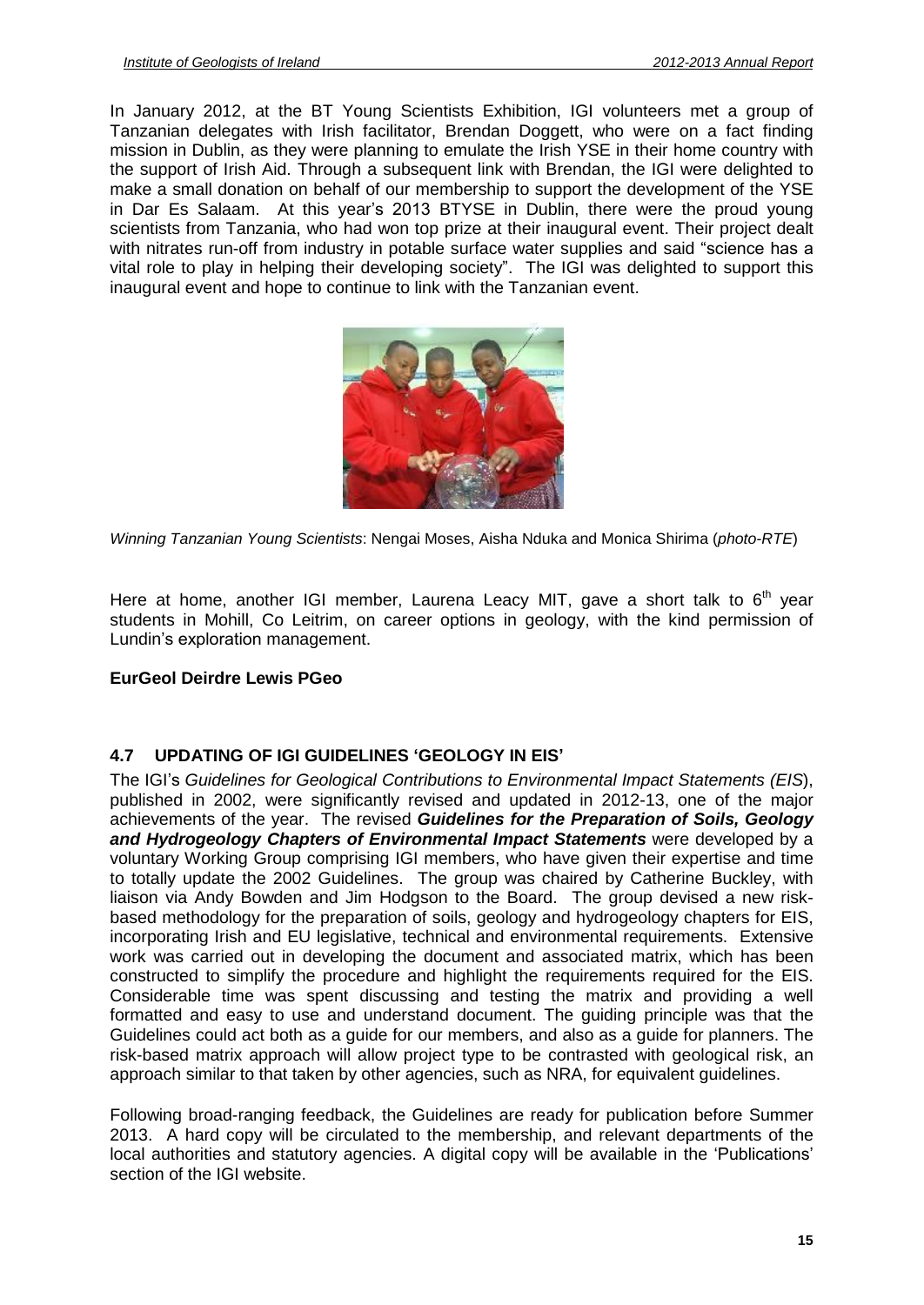In January 2012, at the BT Young Scientists Exhibition, IGI volunteers met a group of Tanzanian delegates with Irish facilitator, Brendan Doggett, who were on a fact finding mission in Dublin, as they were planning to emulate the Irish YSE in their home country with the support of Irish Aid.Through a subsequent link with Brendan, the IGI were delighted to make a small donation on behalf of our membership to support the development of the YSE ine support of Irish Aid. Through a subsequent link with Brendan, the IGI were delighted to make a small donation on behalf of our membership to support the development of the YSE in Dar Es Salaam. At this year's 2013 BTYS scientists from Tanzania, who had won top prize at their inaugural event. Their project dealt in Dar Es Salaam. At this year's 2013 BTYSE in Dublin, there were the proud young<br>scientists from Tanzania, who had won top prize at their inaugural event. Their project dealt<br>with nitrates run-off from industry in potable with nitrates run-off from industry in potable surface water supplies and said "science has a vital role to play in helping their developing society". The IGI was delighted to support this inaugural event and hope to continue to link with the Tanzanian event.



Winning Tanzanian Young Scientists: Nengai Moses, Aisha Nduka and Monica Shirima (photo-RTE)

Here at home, another IGI member, Laurena Leacy MIT, gave a short talk to 6<sup>th</sup> year<br>students in Mohill, Co Leitrim, on career options in geology, with the kind permission of<br>Lundin's exploration management. students in Mohill, Co Leitrim, on career options in geology, with the kind permission of

# **EurGeol Deirdre Lewis PGeo**

# **4.7 UPDATING OF IGI GUIDELINES <sup>ë</sup>GEOLOGY IN EIS<sup>í</sup>**

The IGI's Guidelines for Geological Contributions to Environmental Impact Statements (EIS), published in 2002, were significantly revised and updated in 2012-13, one of the major achievements of the year. The revised **Guidelines for the Preparation of Soils, Geology and Hydrogeology Chapters of Environmental Impact Statements** were developed by a voluntary Working Group comprising IGI members, who have given their expertise and time to totally update the 2002 Guidelines. The group was chaired by Catherine Buckley, with liaison via Andy Bowden and Jim Hodgson to the Board. The group devised a new risk based methodology for the preparation of soils, geology and hydrogeology chapters for EIS, incorporating Irish and EU legislative, technical and environmental requirements. Extensive work was carried out in developing the document and associated matrix, which has been constructed to simplify the procedure and highlight the requirements required for the EIS. Considerable time was spent discussing and testing the matrix and providing a well formatted and easy to use and understand document. The guiding principle was that the Guidelines could act both as a guide for our members, and also as a guide for planners. The risk-based matrix approach will allow project type to be contrasted with geological risk, an approach similar to that taken by other agencies, such as NRA, for equivalent guidelines.

Following broad-ranging feedback, the Guidelines are ready for publication before Summer 2013. A hard copy will be circulated to the membership, and relevant departments of the local authorities and statutory agencies. A digital copy will be available in the 'Publications' section of the IGI website.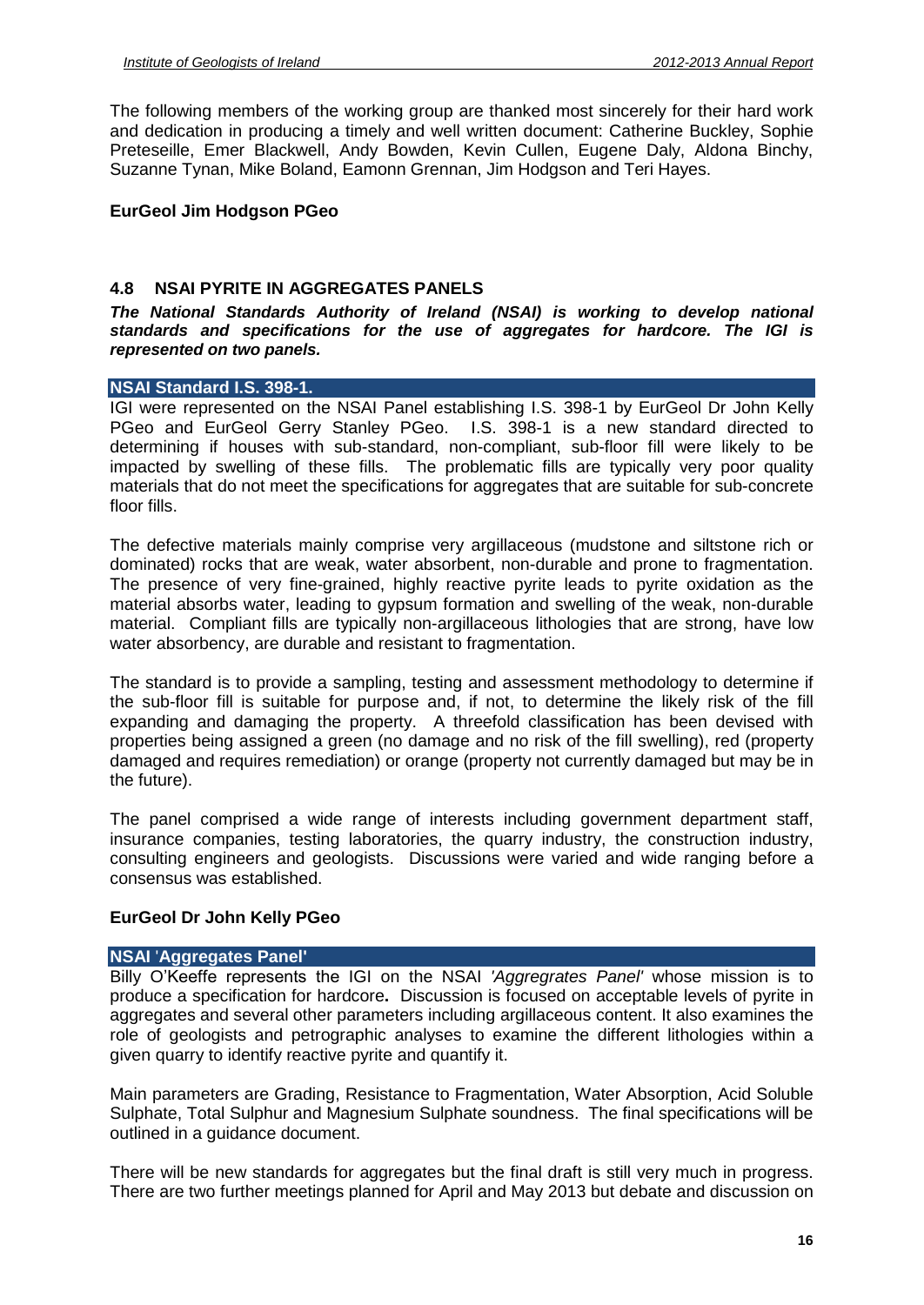The following members of the working group are thanked most sincerely for their hard work and dedication in producing a timely and well written document: Catherine Buckley, Sophie Preteseille, Emer Blackwell, Andy Bowden, Kevin Cullen, Eugene Daly, Aldona Binchy, Suzanne Tynan, Mike Boland, Eamonn Grennan, Jim Hodgson and Teri Hayes.

#### **EurGeol Jim Hodgson PGeo**

#### **4.8 NSAI PYRITE IN AGGREGATES PANELS**

**The** National Standards Authority of Ireland (NSAI) is working to develop national **standards and specifications for the use of aggregates for hardcore. The IGI is represented on two panels.**

#### **NSAI Standard I.S. 398-1.**

IGI were represented on the NSAI Panel establishing I.S. 398-1 by EurGeol Dr John Kelly PGeo and EurGeol Gerry Stanley PGeo. I.S. 398-1 is a new standard directed to determining if houses with sub-standard, non-compliant, sub-floor fill were likely to be impacted by swelling of these fills. The problematic fills are typically very poor quality materials that do not meet the specifications for aggregates that are suitable for sub-concrete floor fills.

The defective materials mainly comprise very argillaceous (mudstone and siltstone rich or dominated) rocks that are weak, water absorbent, non-durable and prone to fragmentation. The presence of very fine-grained, highly reactive pyrite leads to pyrite oxidation as the material absorbs water, leading to gypsum formation and swelling of the weak, non-durable material. Compliant fills are typically non-argillaceous lithologies that are strong, have low water absorbency, are durable and resistant to fragmentation.

The standard is to provide a sampling, testing and assessment methodology to determine if the sub-floor fill is suitable for purpose and, if not, to determine the likely risk of the fill expanding and damaging the property. A threefold classification has been devised with properties being assigned a green (no damage and no risk of the fill swelling), red (property damaged and requires remediation) or orange (property not currently damaged but may be in the future).

The panel comprised a wide range of interests including government department staff, insurance companies, testing laboratories, the quarry industry, the construction industry, consulting engineers and geologists. Discussions were varied and wide ranging before a consensus was established.

#### **EurGeol Dr John Kelly PGeo**

# **NSAI** '**Aggregates Panel'**

Billy O'Keeffe represents the IGI on the NSAI 'Aggregrates Panel' whose mission is to produce a specification for hardcore**.** Discussion is focused on acceptable levels of pyrite in aggregates and several other parameters including argillaceous content. It also examines the role of geologists and petrographic analyses to examine the different lithologies within a given quarry to identify reactive pyrite and quantify it.

Main parameters are Grading, Resistance to Fragmentation, Water Absorption, Acid Soluble Sulphate, Total Sulphur and Magnesium Sulphate soundness. The final specifications will be outlined in a guidance document.

There will be new standards for aggregates but the final draft is still very much in progress. There are two further meetings planned for April and May 2013 but debate and discussion on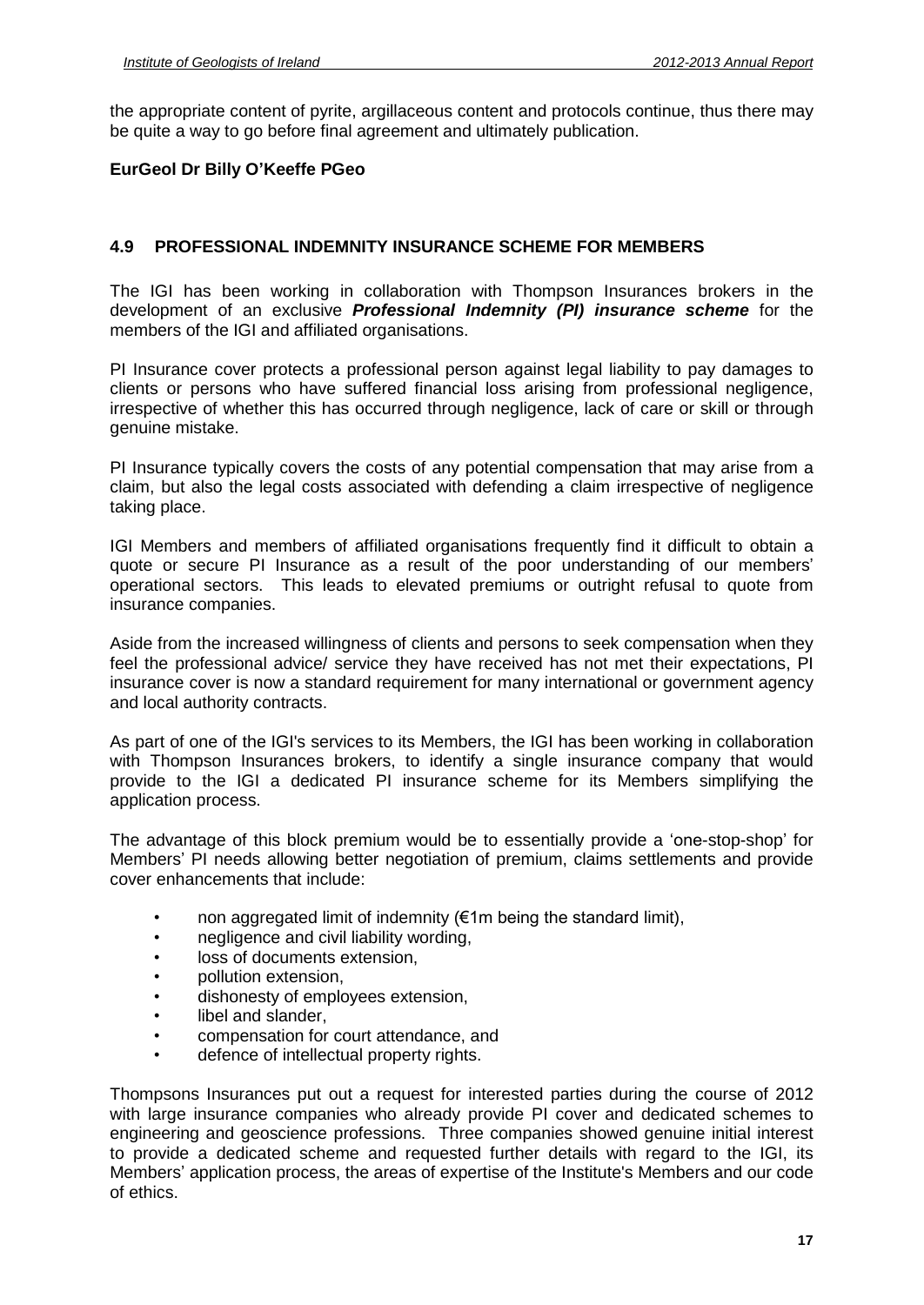the appropriate content of pyrite, argillaceous content and protocols continue, thus there may be quite a way to go before final agreement and ultimately publication. **EurGeol Dr Billy <sup>O</sup>íKeeffe PGeo**

#### **4.9 PROFESSIONAL INDEMNITY INSURANCE SCHEME FOR MEMBERS**

The IGI has been working in collaboration with Thompson Insurances brokers in the development of an exclusive **Professional Indemnity (PI) insurance scheme** for the members of the IGI and affiliated organisations.

PI Insurance cover protects a professional person against legal liability to pay damages to clients or persons who have suffered financial loss arising from professional negligence, irrespective of whether this has occurred through negligence, lack of care or skill or through genuine mistake.

PI Insurance typically covers the costs of any potential compensation that may arise from a claim, but also the legal costs associated with defending a claim irrespective of negligence taking place.

IGI Members and members of affiliated organisations frequently find it difficult to obtain a uning press.<br>IGI Members and members of affiliated organisations frequently find it difficult to obtain a<br>quote or secure PI Insurance as a result of the poor understanding of our members' operational sectors. This leads to elevated premiums or outright refusal to quote from insurance companies.

Aside from the increased willingness of clients and persons to seek compensation when they feel the professional advice/ service they have received has not met their expectations, PI insurance cover is now a standard requirement for many international or government agency and local authority contracts.

As part of one of the IGI's services to its Members, the IGI has been working in collaboration with Thompson Insurances brokers, to identify a single insurance company that would provide to the IGI a dedicated PI insurance scheme for its Members simplifying the application process. The advantage of this block premium would be to essentially provide <sup>a</sup> ëone-stop-shop<sup>í</sup> for

<sub>—</sub><br>The advantage of this block premium would be to essentially provide a 'one-stop-shop' for<br>Members' PI needs allowing better negotiation of premium, claims settlements and provide members in nostic and may be the my non aggregated limit of indemnity (€1m being the standard limit),<br>• in an aggregated limit of indemnity (€1m being the standard limit),

- non aggregated limit of indemnity (€1m b<br>• inegligence and civil liability wording,
- negligence and civil liability wording,
- loss of documents extension, pollution extension,
- 
- one dishonest contracts...<br>
dishonesty of employees extension,<br> **dishonesty of employees extension,** ender interests...<br>dishonesty of employe<br>bibel and slander,
- ï
- compensation for court attendance, and
- defence of intellectual property rights.

Thompsons Insurances put out a request for interested parties during the course of 2012 with large insurance companies who already provide PI cover and dedicated schemes to engineering and geoscience professions. Three companies showed genuine initial interest<br>to provide a dedicated scheme and requested further details with regard to the IGI, its<br>Members' application process, the areas of exp to provide a dedicated scheme and requested further details with regard to the IGI, its of ethics.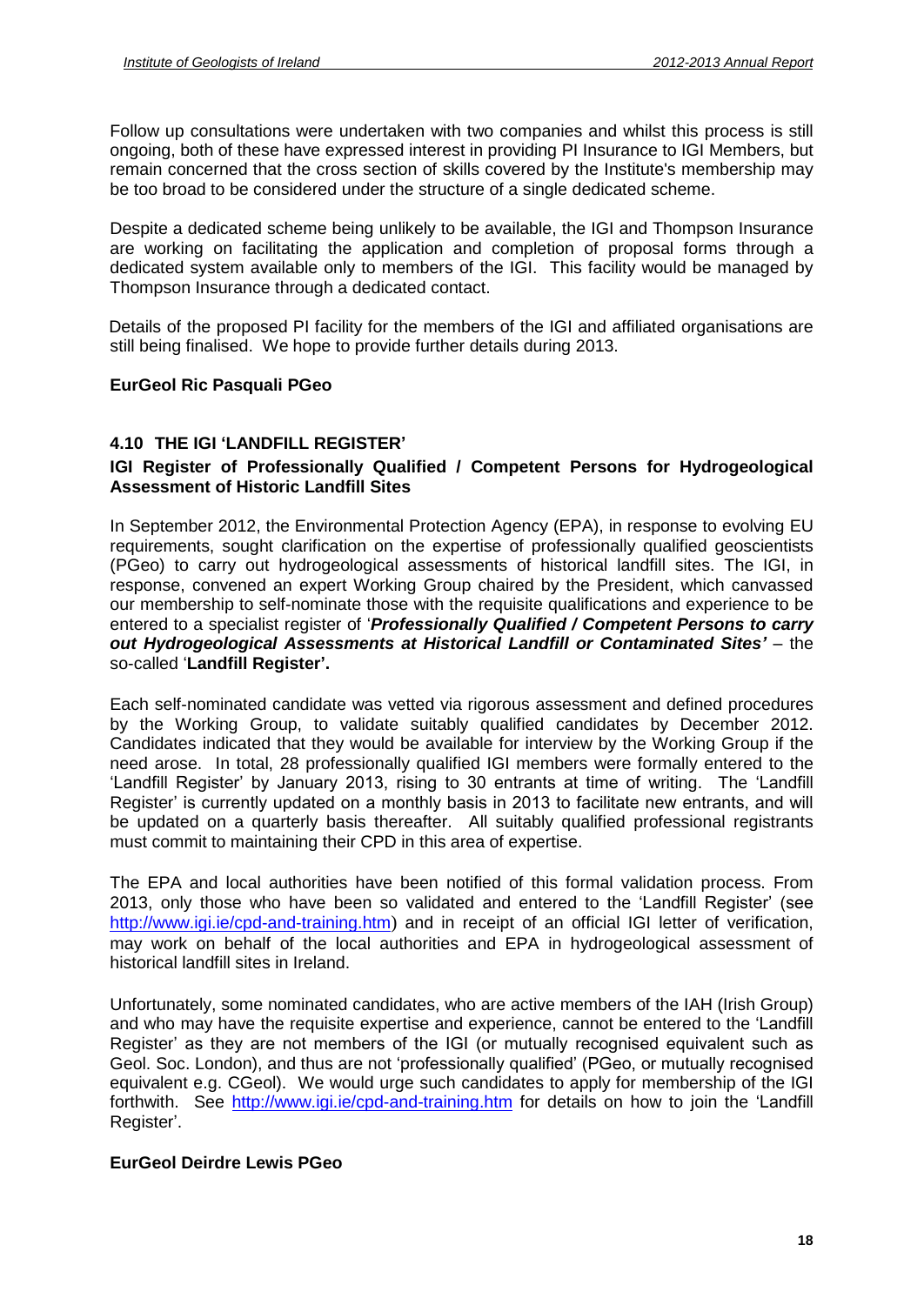Follow up consultations were undertaken with two companies and whilst this process is still ongoing, both of these have expressed interest in providing PI Insurance to IGI Members, but remain concerned that the cross section of skills covered by the Institute's membership may be too broad to be considered under the structure of a single dedicated scheme.

Despite a dedicated scheme being unlikely to be available, the IGI and Thompson Insurance are working on facilitating the application and completion of proposal forms through a dedicated system available only to members of the IGI. This facility would be managed by Thompson Insurance through a dedicated contact.

Details of the proposed PI facility for the members of the IGI and affiliated organisations are still being finalised. We hope to provide further details during 2013.

# **EurGeol Ric Pasquali PGeo**

# **4.10 THE IGI <sup>ë</sup>LANDFILL REGISTER<sup>í</sup>**

# **IGI Register of Professionally Qualified / Competent Persons for Hydrogeological Assessment of Historic Landfill Sites**

In September 2012, the Environmental Protection Agency (EPA), in response to evolving EU requirements, sought clarification on the expertise of professionally qualified geoscientists (PGeo) to carry out hydrogeological assessments of historical landfill sites. The IGI, in response, convened an expert Working Group chaired by the President, which canvassed entered to <sup>a</sup> specialist register of <sup>ë</sup>**Professionally Qualified / Competent Persons to carry** our membership to self-nominate those with the requisite qualifications and experience to be **our membership to self-nominate those with the requisite qualifications and experience to be entered to a specialist register of 'Professionally Qualified / Competent Persons to carry out Hydrogeological Assessments at Hi Example 2 called to a specialist register of**<br>*out Hydrogeological Assessme*<br>so-called 'Landfill Register'.

Each self-nominated candidate was vetted via rigorous assessment and defined procedures by the Working Group, to validate suitably qualified candidates by December 2012. Candidates indicated that they would be available for interview by the Working Group if the<br>need arose. In total, 28 professionally qualified IGI members were formally entered to the<br>'Landfill Register' by January 2013, ri need arose. In total, 28 professionally qualified IGI members were formally entered to the 'Landfill Register' by January 2013, rising to 30 entrants at time of writing. The 'Landfill Register' is currently updated on a monthly basis in 2013 to facilitate new entrants, and will be updated on a quarterly basis thereafter. All suitably qualified professional registrants must commit to maintaining their CPD in this area of expertise.

The EPA and local authorities have been notified of this formal validation process. From 2013, only those who have been so validated and entered to the 'Landfill Register' (see <http://www.igi.ie/cpd-and-training.htm>) and in receipt of an official IGI letter of verification, may work on behalf of the local authorities and EPA in hydrogeological assessment of historical landfill sites in Ireland.

Unfortunately, some nominated candidates, who are active members of the IAH (Irish Group) Unfortunately, some nominated candidates, who are active members of the IAH (Irish Group)<br>and who may have the requisite expertise and experience, cannot be entered to the 'Landfill Unfortunately, some nominated candidates, who are active members of the IAH (Irish Group)<br>and who may have the requisite expertise and experience, cannot be entered to the 'Landfill<br>Register' as they are not members of the and who may have the requisite expertise and experience, cannot be entered to the 'Landfill<br>Register' as they are not members of the IGI (or mutually recognised equivalent such as<br>Geol. Soc. London), and thus are not 'prof equivalent e.g. CGeol). We would urge such candidates to apply for membership of the IGI<br>forthwith. See http://www.igi.ie/cpd-and-training.htm for details on how to join the 'Landfill<br>Register'. forthwith. See <http://www.igi.ie/cpd-and-training.htm> for details on how to join the 'Landfill'<br>forthwith. See http://www.igi.ie/cpd-and-training.htm for details on how to join the 'Landfill'

# **EurGeol Deirdre Lewis PGeo**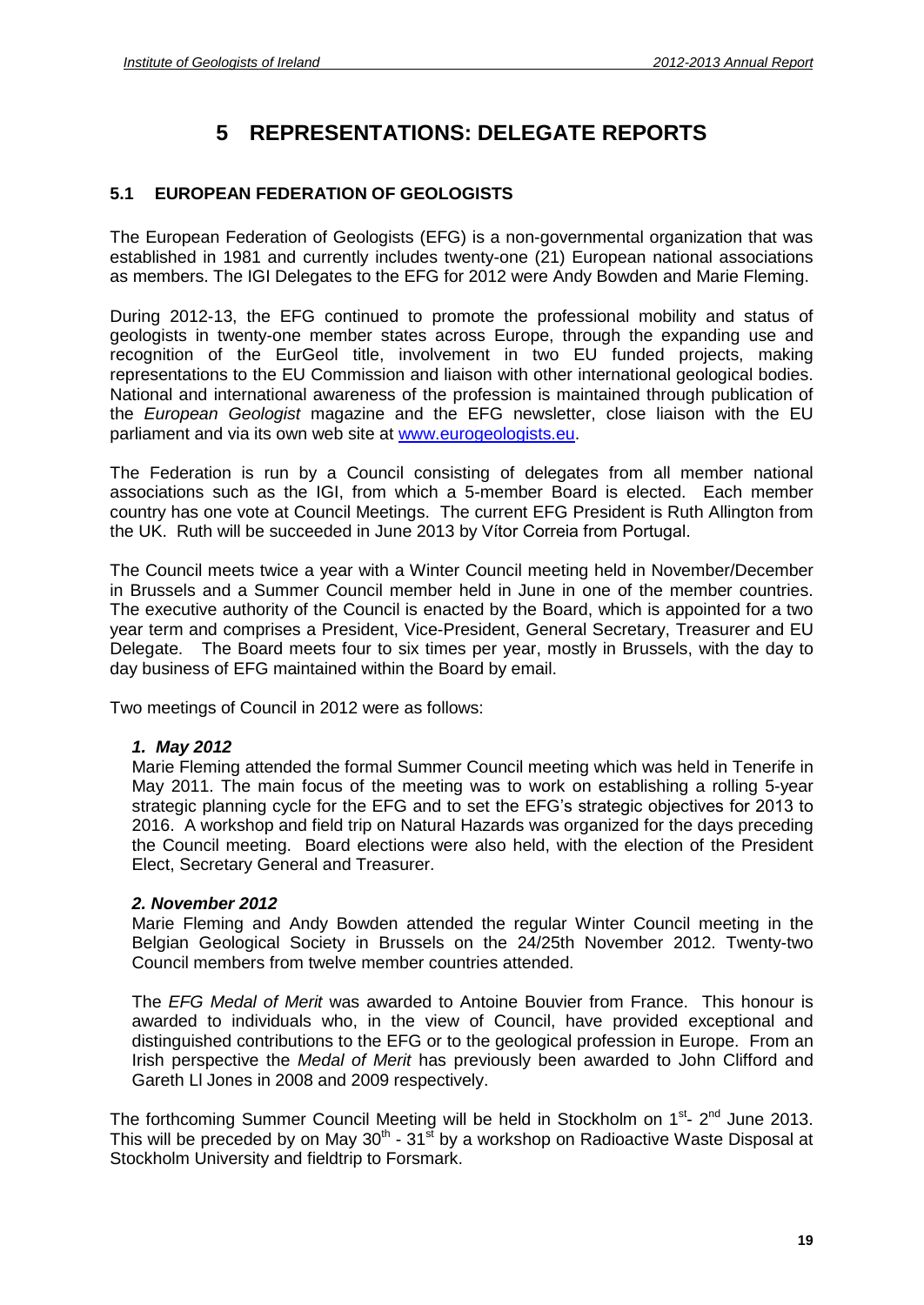# **5 REPRESENTATIONS: DELEGATE REPORTS**

# **5.1 EUROPEAN FEDERATION OF GEOLOGISTS**

The European Federation of Geologists (EFG) is a non-governmental organization thatwas established in 1981 and currently includes twenty-one (21) European national associations as members. The IGI Delegates to the EFG for 2012 were Andy Bowden and Marie Fleming.

During 2012-13, the EFG continued to promote the professional mobility and status of geologists in twenty-one member states across Europe, through the expanding use and recognition of the EurGeol title, involvement in two EU funded projects, making representations to the EU Commission and liaison with other international geological bodies. National and international awareness of the profession is maintained through publication of the European Geologist magazine and the EFG newsletter, close liaison with the EU parliament and via its own web site at [www.eurogeologists.eu.](http://www.eurogeologists.eu)

The Federation is run by a Council consisting of delegates from all member national associations such as the IGI, from which a 5-member Board is elected. Each member country has one vote at Council Meetings. The current EFG President is Ruth Allington from the UK. Ruth will be succeeded in June 2013 by Vitor Correia from Portugal.<br>the UK. Ruth will be succeeded in June 2013 by Vitor Correia from Portugal.

The Council meets twice a year with a Winter Council meeting held in November/December in Brussels and a Summer Council member held in June in one of the member countries. The executive authority of the Council is enacted by the Board, which is appointed for a two year term and comprises a President, Vice-President, General Secretary, Treasurer and EU Delegate. The Board meets four to six times per year, mostly in Brussels, with the day to day business of EFG maintained within the Board by email.

Two meetings of Council in 2012 were as follows:

# **1. May 2012**

Marie Fleming attended the formal Summer Council meeting which was held in Tenerife in<br>May 2011. The main focus of the meeting was to work on establishing a rolling 5-year<br>strategic planning cycle for the EFG and to set th May 2011. The main focus of the meeting was to work on establishing a rolling 5-year 2016. A workshop and field trip on Natural Hazards was organized for the days preceding the Council meeting. Board elections were also held, with the election of the President Elect, Secretary General and Treasurer.

# **2. November 2012**

Marie Fleming and Andy Bowden attended the regular Winter Council meeting in the Belgian Geological Society in Brussels on the 24/25th November 2012. Twenty-two Council members from twelve member countries attended.

The *EFG Medal of Merit* was awarded to Antoine Bouvier from France. This honour is awarded to individuals who, in the view of Council, have provided exceptional and distinguished contributions to the EFG or to the geological profession in Europe. From an Irish perspective the Medal of Merit has previously been awarded to John Clifford and Gareth Ll Jones in 2008 and 2009 respectively.

The forthcoming Summer Council Meeting will be held in Stockholm on 1<sup>st</sup>- 2<sup>nd</sup> June 2013. This will be preceded by on May 30<sup>th</sup> - 31<sup>st</sup> by a workshop on Radioactive Waste Disposal at Stockholm University and fieldtrip to Forsmark.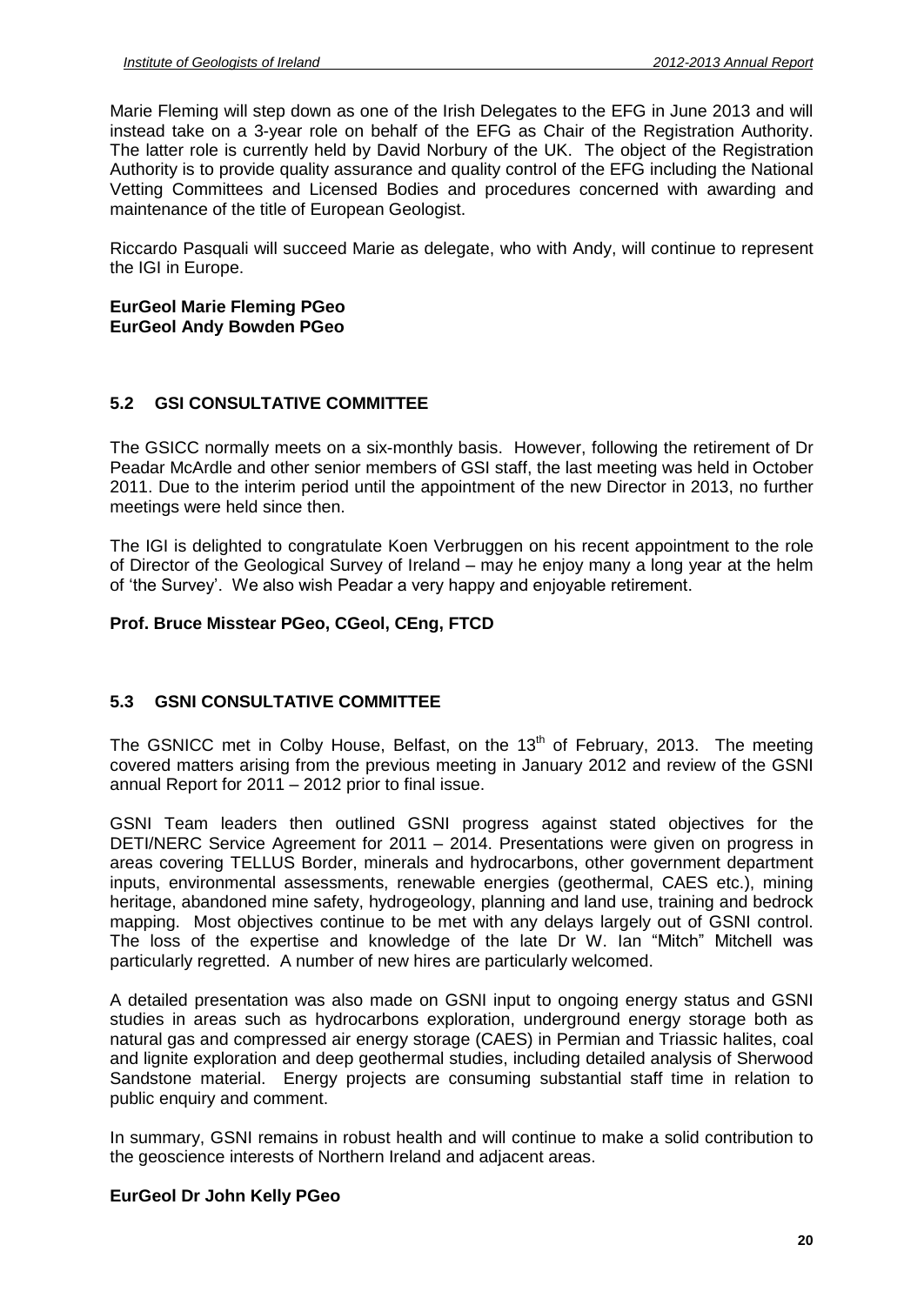Marie Fleming will step down as one of the Irish Delegates to the EFG in June 2013 and will instead take on a 3-year role on behalf of the EFG as Chair of the Registration Authority. The latter role is currently held by David Norbury of the UK. The object of the Registration Authority is to provide quality assurance and quality control of the EFG including the National Vetting Committees and Licensed Bodies and procedures concerned with awarding and maintenance of the title of European Geologist.

Riccardo Pasquali will succeed Marie as delegate, who with Andy, will continue to represent the IGI in Europe.

#### **EurGeol Marie Fleming PGeo EurGeol Andy Bowden PGeo**

# **5.2 GSI CONSULTATIVE COMMITTEE**

The GSICC normally meets on a six-monthly basis. However, following the retirement of Dr Peadar McArdle and other senior members of GSI staff, the last meeting was held in October 2011. Due to the interim period until the appointment of the new Director in 2013, no further meetings were held since then.

The IGI is delighted to congratulate Koen Verbruggen on his recent appointment to the role meeange nere nere enter ment.<br>The IGI is delighted to congratulate Koen Verbruggen on his recent appointment to the role<br>of Director of the Geological Survey of Ireland – may he enjoy many a long year at the helm The IGI is delighted to congratulate Koen Verbruggen on his recent appointment<br>of Director of the Geological Survey of Ireland – may he enjoy many a long year<br>of 'the Survey'. We also wish Peadar a very happy and enjoyable

# **Prof. Bruce Misstear PGeo, CGeol, CEng, FTCD**

# **5.3 GSNI CONSULTATIVE COMMITTEE**

The GSNICC met in Colby House, Belfast, on the 13<sup>th</sup> of February, 2013. The meeting<br>covered matters arising from the previous meeting in January 2012 and review of the GSNI<br>annual Report for 2011 – 2012 prior to final is covered matters arising from the previous meeting in January 2012 and review of the GSNI

GSNI Team leaders then outlined GSNI progress against stated objectives for the annear repertier 2011 and prior to mian educt<br>GSNI Team leaders then outlined GSNI progress against stated objectives for the<br>DETI/NERC Service Agreement for 2011 – 2014. Presentations were given on progress in areas covering TELLUS Border, minerals and hydrocarbons, other government department inputs, environmental assessments, renewable energies (geothermal, CAES etc.), mining meritage, abandoned mine safety, hydrogeology, planning and land use, training and bedrock<br>mapping. Most objectives continue to be met with any delays largely out of GSNI control.<br>The loss of the expertise and knowledge of mapping. Most objectives continue to be metwith any delays largely out of GSNI control. particularly regretted. A number of new hires are particularly welcomed.

A detailed presentation was also made on GSNI input to ongoing energy status and GSNI studies in areas such as hydrocarbons exploration, underground energy storage both as natural gas and compressed air energy storage (CAES) in Permian and Triassic halites, coal and lignite exploration and deep geothermal studies, including detailed analysis of Sherwood Sandstone material. Energy projects are consuming substantial staff time in relation to public enquiry and comment.

In summary, GSNI remains in robust health and will continue to make a solid contribution to the geoscience interests of Northern Ireland and adjacent areas.

# **EurGeol Dr John Kelly PGeo**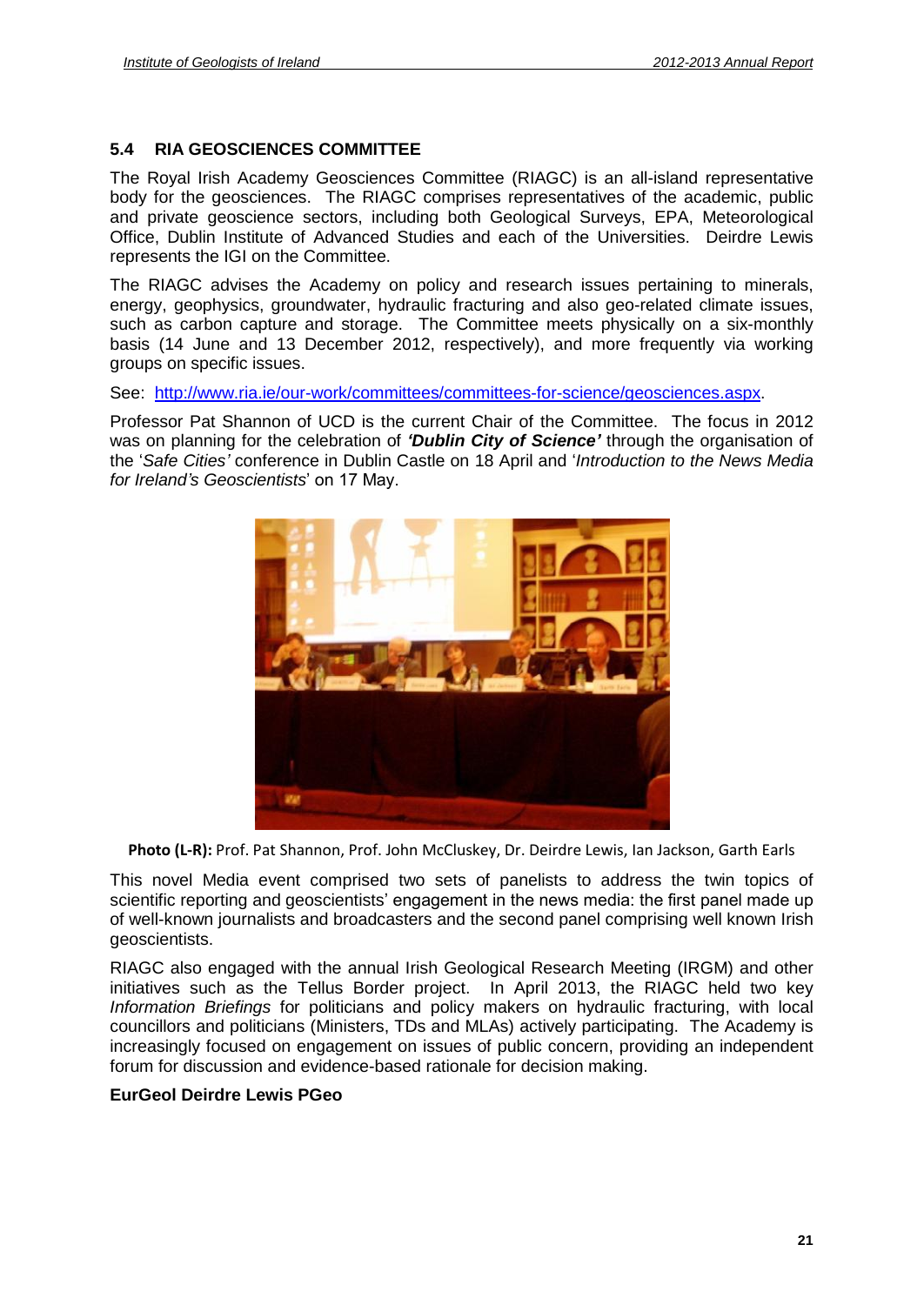# **5.4 RIA GEOSCIENCES COMMITTEE**

The Royal Irish Academy Geosciences Committee (RIAGC) is an all-island representative body for the geosciences. The RIAGC comprises representatives of the academic, public and private geoscience sectors, including both Geological Surveys, EPA, Meteorological Office, Dublin Institute of Advanced Studies and each of the Universities. Deirdre Lewis represents the IGI on the Committee.

The RIAGC advises the Academy on policy and research issues pertaining to minerals, energy, geophysics, groundwater, hydraulic fracturing and also geo-related climate issues, such as carbon capture and storage. The Committee meets physically on a six-monthly basis (14 June and 13 December 2012, respectively), and more frequently via working groups on specific issues.

See: [http://www.ria.ie/our-work/committees/committees-for-science/geosciences.aspx.](http://www.ria.ie/our-work/committees/committees-for-science/geosciences.aspx)

Professor Pat Shannon of UCD is the current Chair of the Committee. The focus in 2012 See: <u>http://www.ria.ie/our-work/committees/committees-for-science/geosciences.aspx</u>.<br>Professor Pat Shannon of UCD is the current Chair of the Committee. The focus in 2012<br>was on planning for the celebration of *'Dublin C* Professor Pat Shannon of UCD is the current Chair of the Committee. The focus in 2012<br>was on planning for the celebration of *'Dublin City of Science'* through the organisation of<br>the '*Safe Cities'* conference in Dublin C Frocessor Fat Chamber of COD is the car<br>was on planning for the celebration of '*Du*<br>the '*Safe Cities'* conference in Dublin Castl<br>for Ireland's Geoscientists' on 17 May.



This novel Media event comprised two sets of panelists to address the twin topics of **Photo (L-R):** Prof. Pat Shannon, Prof. John McCluskey, Dr. Deirdre Lewis, Ian Jackson, Garth Earls<br>This novel Media event comprised two sets of panelists to address the twin topics of<br>scientific reporting and geoscientist of well-known journalists and broadcasters and the second panel comprising well known Irish geoscientists.

RIAGC also engaged with the annual Irish Geological Research Meeting (IRGM) and other initiatives such as the Tellus Border project. In April 2013, the RIAGC held two key Information Briefings for politicians and policy makers on hydraulic fracturing, with local councillors and politicians (Ministers, TDs and MLAs) actively participating. The Academy is increasingly focused on engagement on issues of public concern, providing an independent forum for discussion and evidence-based rationale for decision making.

# **EurGeol Deirdre Lewis PGeo**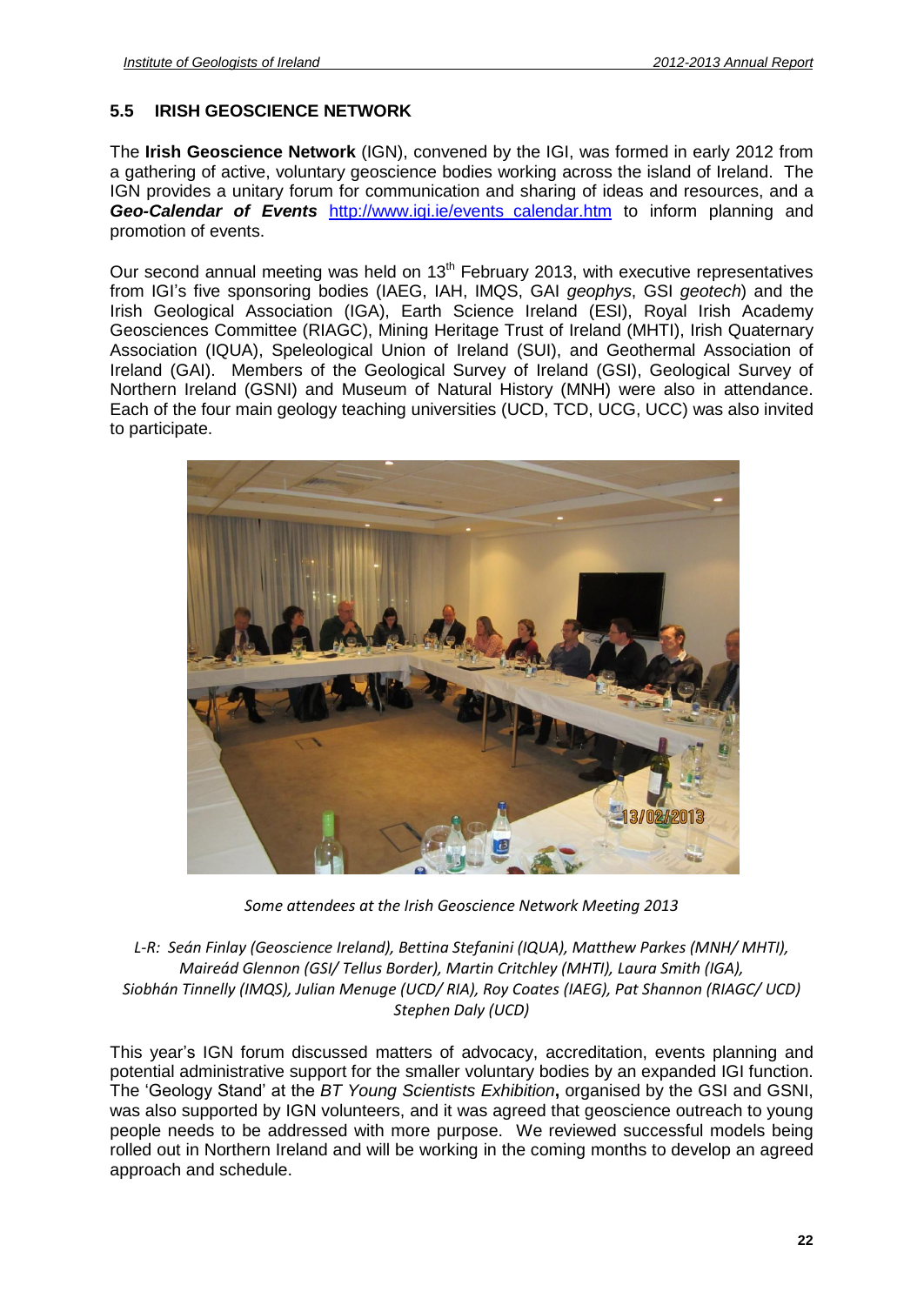# **5.5 IRISH GEOSCIENCE NETWORK**

The **Irish Geoscience Network** (IGN), convened by the IGI, was formed in early 2012 from a gathering of active, voluntary geoscience bodies working across the island of Ireland. The IGN provides a unitary forum for communication and sharing of ideas and resources, and a **Geo-Calendar of Events** [http://www.igi.ie/events\\_calendar.htm](http://www.igi.ie/events_calendar.htm) to inform planning and promotion of events.

Our second annual meeting was held on 13<sup>th</sup> February 2013, with executive representatives .<br>Our second annual meeting was held on 13<sup>th</sup> February 2013, with executive representatives<br>from IGI's five sponsoring bodies (IAEG, IAH, IMQS, GAI *geophys*, GSI *geotech*) and the Irish Geological Association (IGA), Earth Science Ireland (ESI), Royal Irish Academy Geosciences Committee (RIAGC), Mining Heritage Trust of Ireland (MHTI), Irish Quaternary Association (IQUA), Speleological Union of Ireland (SUI), and Geothermal Association of Ireland (GAI). Members of the Geological Survey of Ireland (GSI), Geological Survey of Northern Ireland (GSNI) and Museum of Natural History (MNH) were also in attendance. Each of the four main geology teaching universities (UCD, TCD, UCG, UCC) was also invited to participate.



*Gome attendees at the Irish Geoscience Network Meeting 2013*<br>*L-R: Seán Finlay (Geoscience Ireland), Bettina Stefanini (IQUA), Matthew Parkes (MNH/ MHTI),<br>Maireád Glennon (GSI/ Tellus Border), Martin Critchley (MHTI), Lau Tinnelly (Geoscience Ireland), Bettina Stefanini (IQUA), Matthew Parkes (MNH/ MHTI),*<br>*Maireád Glennon (GSI/ Tellus Border), Martin Critchley (MHTI), Laura Smith (IGA),*<br>*Tinnelly (IMQS), Julian Menuae (UCD/ RIA), Rov C Proscience Netword<br>Stefanini (IQUA),<br><i>Aartin Critchley (IA), Roy Coates (*<br>*Dalv (UCD)* Stephen Daly (UCD)<br>This year's IGN forum discussed matters of advocacy, accreditation, events planning and

potential administrative support for the smaller voluntary bodies by an expanded IGI function. This year's IGN forum discussed matters of advocacy, accreditation, events planning and<br>potential administrative support for the smaller voluntary bodies by an expanded IGI function.<br>The 'Geology Stand' at the *BT Young Sc* was also supported by IGN volunteers, and it was agreed that geoscience outreach to young people needs to be addressed with more purpose. We reviewed successful models being rolled out in Northern Ireland and will be working in the coming months to develop an agreed approach and schedule.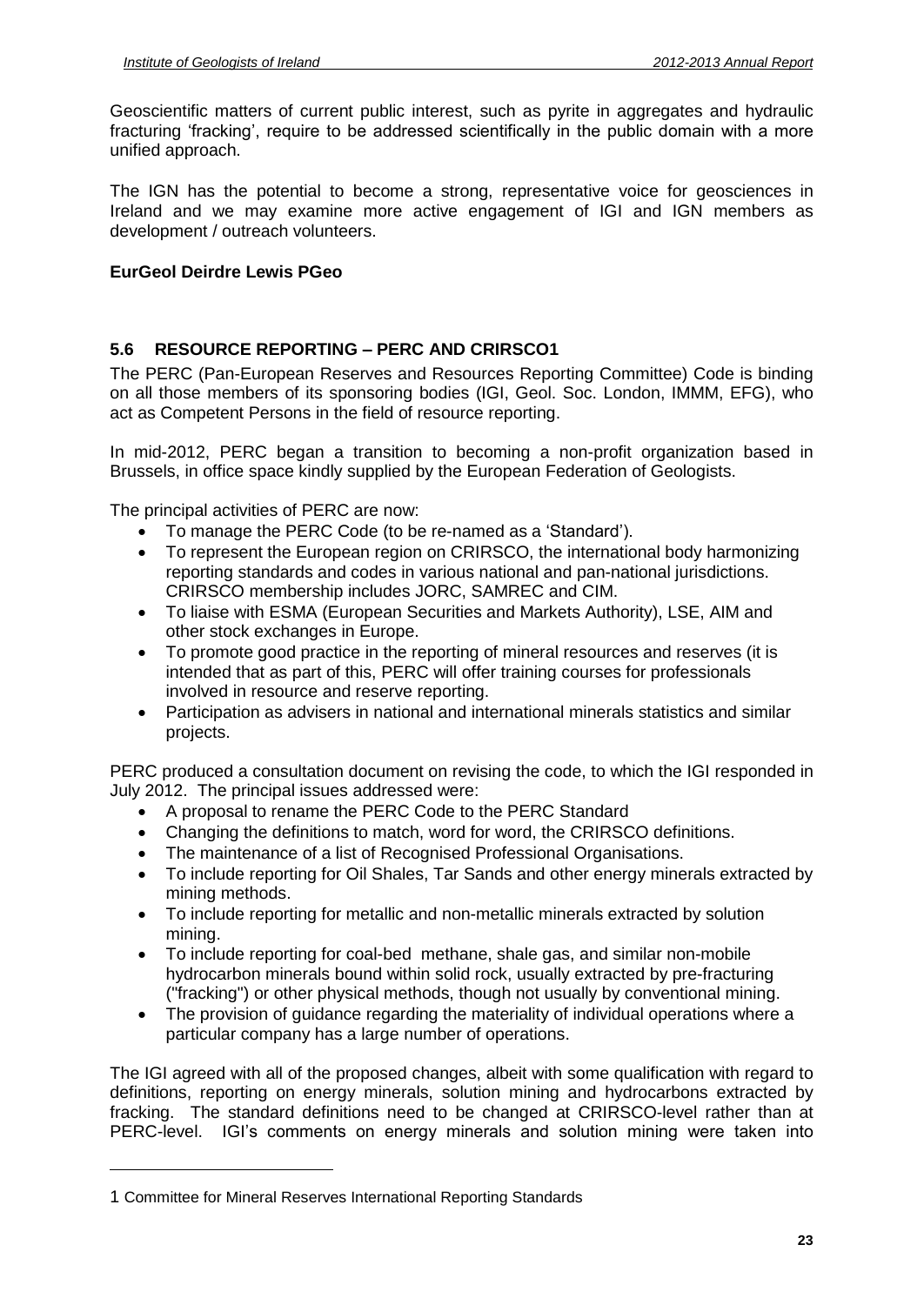Geoscientific matters of current public interest, such as pyrite in aggregates and hydraulic Geoscientific matters of current public interest, such as pyrite in aggregates and hydraulic<br>fracturing 'fracking', require to be addressed scientifically in the public domain with a more unified approach.

The IGN has the potential to become a strong, representative voice for geosciences in Ireland and we may examine more active engagement of IGI and IGN members as development / outreach volunteers.

# **EurGeol Deirdre Lewis PGeo**

# **5.6 RESOURCE REPORTING <sup>ñ</sup> PERC AND CRIRSCO1**

The PERC (Pan-European Reserves and Resources Reporting Committee) Code is binding on all those members of its sponsoring bodies (IGI, Geol. Soc. London, IMMM, EFG), who act as Competent Persons in the field of resource reporting.

In mid-2012, PERC began a transition to becoming a non-profit organization based in Brussels, in office space kindly supplied by the European Federation of Geologists.

The principal activities of PERC are now:

- To manage the PERC Code (to be re-named as a 'Standard').
- To represent the European region on CRIRSCO, the international body harmonizing reporting standards and codes in various national and pan-national jurisdictions. CRIRSCO membership includes JORC, SAMREC and CIM.
- To liaise with ESMA (European Securities and Markets Authority), LSE, AIM and other stock exchanges in Europe.
- To promote good practice in the reporting of mineral resources and reserves (it is intended that as part of this, PERC will offer training courses for professionals involved in resource and reserve reporting.
- Participation as advisers in national and international minerals statistics and similar projects.

PERC produced a consultation document on revising the code, to which the IGI responded in July 2012. The principal issues addressed were: July 2012. The principal issues addressed were:

- A proposal to rename the PERC Code to the PERC Standard
- A proposal to rename the PERC Code to the PERC Standard<br>● Changing the definitions to match, word for word, the CRIRSCO definitions.
- Changing the definitions to match, word for word, the CRIRSCO definition<br>• The maintenance of a list of Recognised Professional Organisations.
- To include reporting for Oil Shales, Tar Sands and other energy minerals extracted by mining methods.
- To include reporting for metallic and non-metallic minerals extracted by solution mining.
- To include reporting for coal-bed methane, shale gas, and similar non-mobile hydrocarbon minerals bound within solid rock, usually extracted by pre-fracturing ("fracking") or other physical methods, though not usually by conventional mining.
- The provision of quidance regarding the materiality of individual operations where a particular company has a large number of operations.

The IGI agreed with all of the proposed changes, albeit with some qualification with regard to definitions, reporting on energy minerals, solution mining and hydrocarbons extracted by PERC-level. IGIís comments on energy minerals and solution mining were taken into fracking. The standard definitions need to be changed at CRIRSCO-level rather than at

<sup>1</sup> Committee for Mineral Reserves International Reporting Standards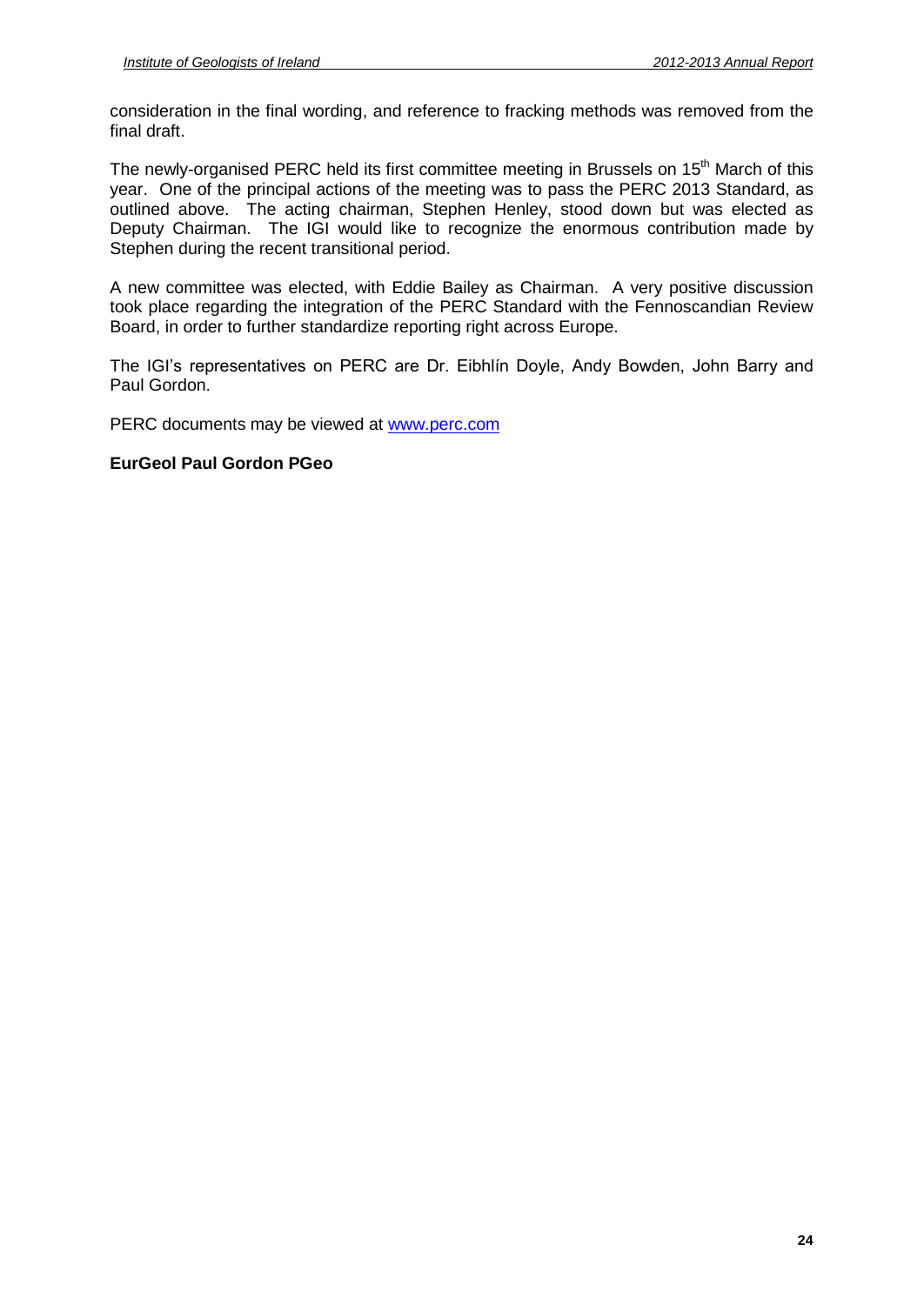consideration in the final wording, and reference to fracking methods was removed from the final draft.

The newly-organised PERC held its first committee meeting in Brussels on 15<sup>th</sup> March of this year. One of the principal actions of the meeting was to pass the PERC 2013 Standard, as outlined above. The acting chairman, Stephen Henley, stood down but was elected as Deputy Chairman. The IGI would like to recognize the enormous contribution made by Stephen during the recent transitional period.

A new committee was elected, with Eddie Bailey as Chairman. A very positive discussion took place regarding the integration of the PERC Standard with the Fennoscandian Review Board, in order to further standardize reporting right across Europe.

The IGI's representatives on PERC are Dr. Eibhlín Doyle, Andy Bowden, John Barry and Paul Gordon.

PERC documents may be viewed at [www.perc.com](http://www.perc.com)

# **EurGeol Paul Gordon PGeo**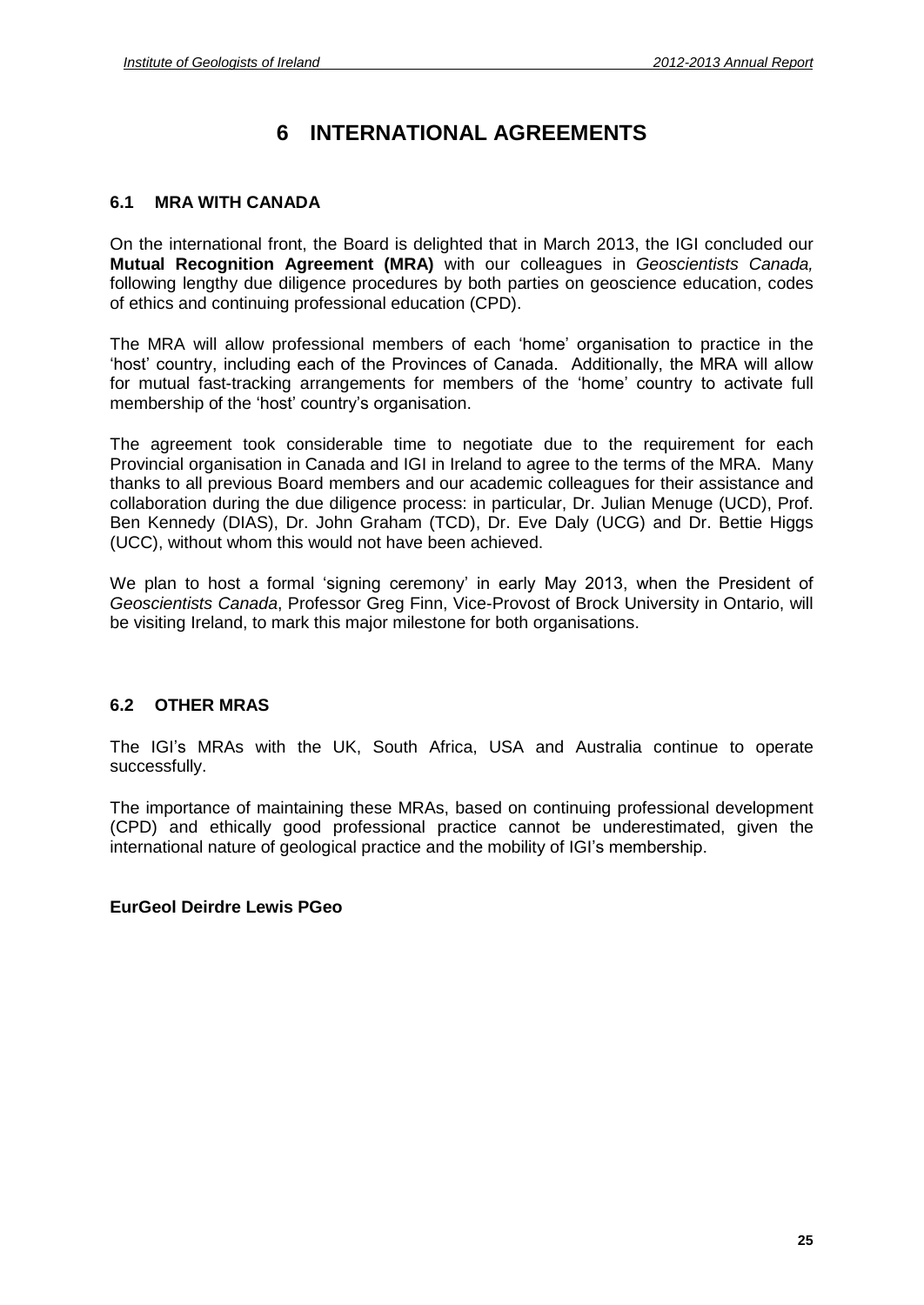# **6 INTERNATIONAL AGREEMENTS**

# **6.1 MRA WITH CANADA**

On the international front, the Board is delighted thatin March 2013, the IGI concluded our **Mutual Recognition Agreement (MRA)** with our colleagues in Geoscientists Canada, following lengthy due diligence procedures by both parties on geoscience education, codes of ethics and continuing professional education (CPD).

The MRA will allow professional members of each 'home' organisation to practice in the The Mann of the Mann of the Mann of the Mann of the MRA will allow professional members of each 'home' organisation to practice in the country, including each of the Provinces of Canada. Additionally, the MRA will allow The MRA will allow professional members of each 'home' organisation to practice in the<br>'host' country, including each of the Provinces of Canada. Additionally, the MRA will allow<br>for mutual fast-tracking arrangements for m membership of the Provinces of C<br>for mutual fast-tracking arrangements for membership of the 'host' country's organisation.

The agreement took considerable time to negotiate due to the requirement for each Provincial organisation in Canada and IGI in Ireland to agree to the terms of the MRA. Many thanks to all previous Board members and our academic colleagues for their assistance and collaboration during the due diligence process: in particular, Dr. Julian Menuge (UCD), Prof. Ben Kennedy (DIAS), Dr. John Graham (TCD), Dr. Eve Daly (UCG) and Dr. Bettie Higgs (UCC), without whom this would not have been achieved.

We plan to host a formal 'signing ceremony' in early May 2013, when the President of Geoscientists Canada, Professor Greg Finn, Vice-Provost of Brock University in Ontario, will be visiting Ireland, to mark this major milestone for both organisations.

# **6.2 OTHER MRAS**

The IGI's MRAs with the UK, South Africa, USA and Australia continue to operate successfully.

The importance of maintaining these MRAs, based on continuing professional development international nature of geological practice and the mobility of IGIís membership. (CPD) and ethically good professional practice cannot be underestimated, given the international nature of geological practice and the mobility of IGI's membership.

# **EurGeol Deirdre Lewis PGeo**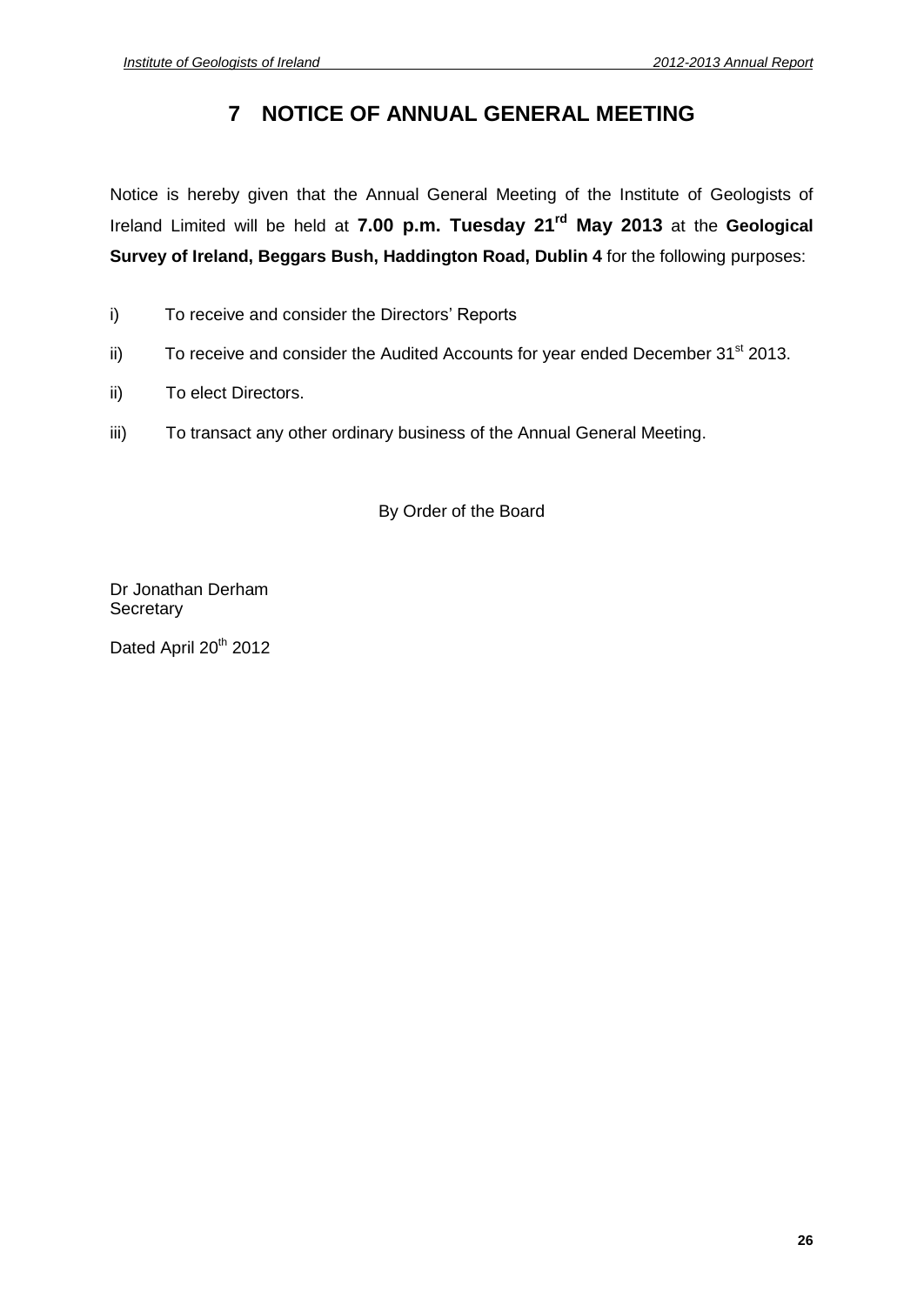# **7 NOTICE OF ANNUAL GENERAL MEETING**

Notice is hereby given that the Annual General Meeting of the Institute of Geologists of Ireland Limited will be held at **7.00 p.m. Tuesday 21 rd May 2013** at the **Geological Survey of Ireland, Beggars Bush, Haddington Road, Dublin 4** for the following purposes:

- i) To receive and consider the Directors' Reports
- ii) To receive and consider the Audited Accounts for year ended December  $31<sup>st</sup>$  2013.
- ii) To elect Directors.
- iii) To transact any other ordinary business of the Annual General Meeting.

By Order of the Board

Dr Jonathan Derham **Secretary** 

Dated April 20<sup>th</sup> 2012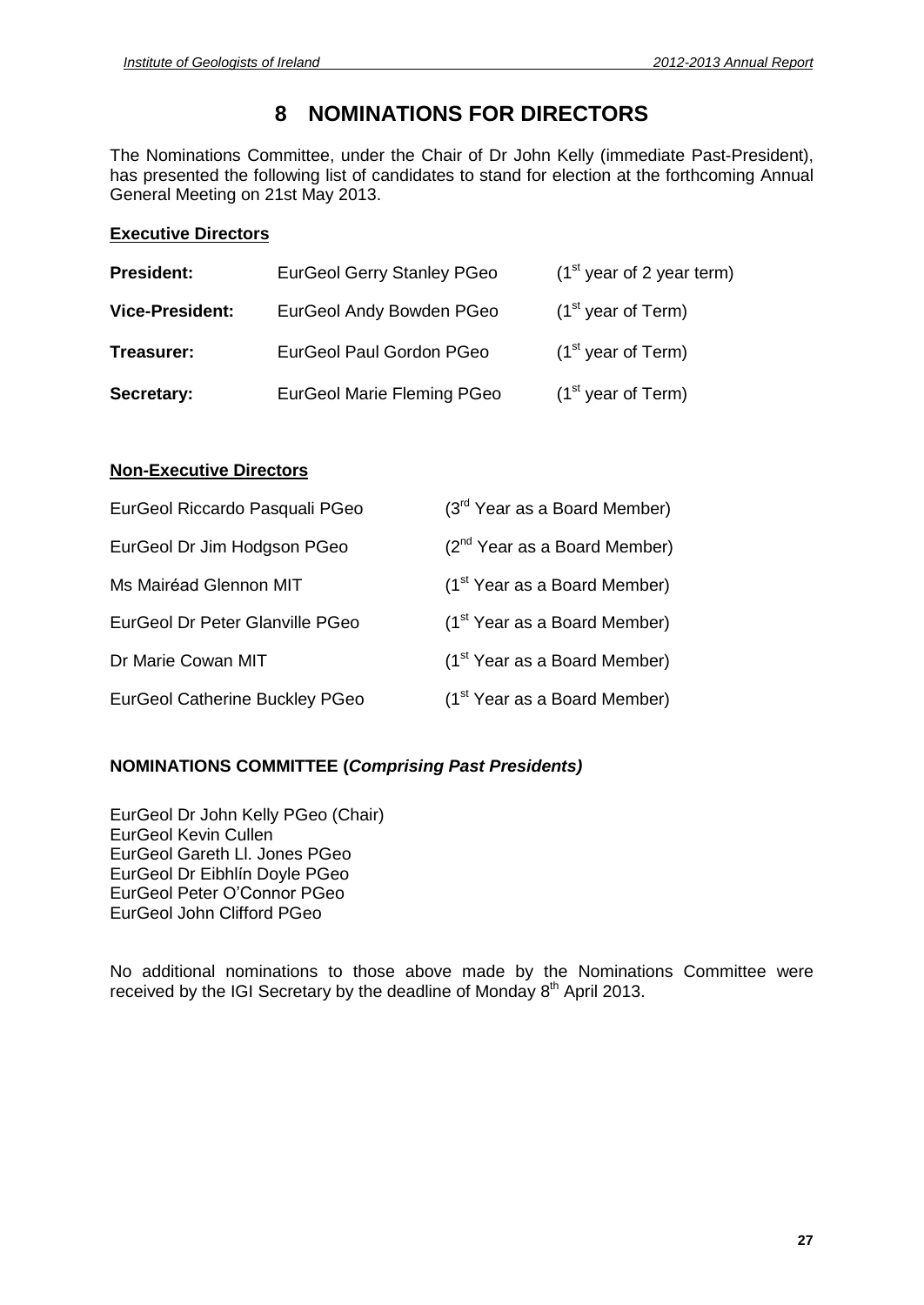# **8 NOMINATIONS FOR DIRECTORS**

The Nominations Committee, under the Chair of Dr John Kelly (immediate Past-President), has presented the following list of candidates to stand for election at the forthcoming Annual General Meeting on 21st May 2013.

# **Executive Directors**

| <b>President:</b>      | <b>EurGeol Gerry Stanley PGeo</b> | $(1st$ year of 2 year term) |
|------------------------|-----------------------------------|-----------------------------|
| <b>Vice-President:</b> | EurGeol Andy Bowden PGeo          | $(1st$ year of Term)        |
| Treasurer:             | EurGeol Paul Gordon PGeo          | $(1st$ year of Term)        |
| Secretary:             | <b>EurGeol Marie Fleming PGeo</b> | $(1st$ year of Term)        |

# **Non-Executive Directors**

| EurGeol Riccardo Pasquali PGeo        | (3 <sup>rd</sup> Year as a Board Member) |
|---------------------------------------|------------------------------------------|
| EurGeol Dr Jim Hodgson PGeo           | $(2^{nd}$ Year as a Board Member)        |
| Ms Mairéad Glennon MIT                | $(1st Year as a Board Member)$           |
| EurGeol Dr Peter Glanville PGeo       | (1 <sup>st</sup> Year as a Board Member) |
| Dr Marie Cowan MIT                    | $(1st Year as a Board Member)$           |
| <b>EurGeol Catherine Buckley PGeo</b> | $(1st Year as a Board Member)$           |

# **NOMINATIONS COMMITTEE (Comprising Past Presidents)**

EurGeol Dr John Kelly PGeo (Chair) EurGeol Kevin Cullen EurGeol Gareth Ll. Jones PGeo EurGeol Kevin Cullen<br>EurGeol Kevin Cullen<br>EurGeol Gareth Ll. Jones PGeo<br>EurGeol Dr Eibhlín Doyle PGeo EurGeol Gareth Ll. Jones PGeo<br>EurGeol Dr Eibhlín Doyle PGeo<br>EurGeol Peter O'Connor PGeo EurGeol John Clifford PGeo

No additional nominations to those above made by the Nominations Committee were received by the IGI Secretary by the deadline of Monday  $8<sup>th</sup>$  April 2013.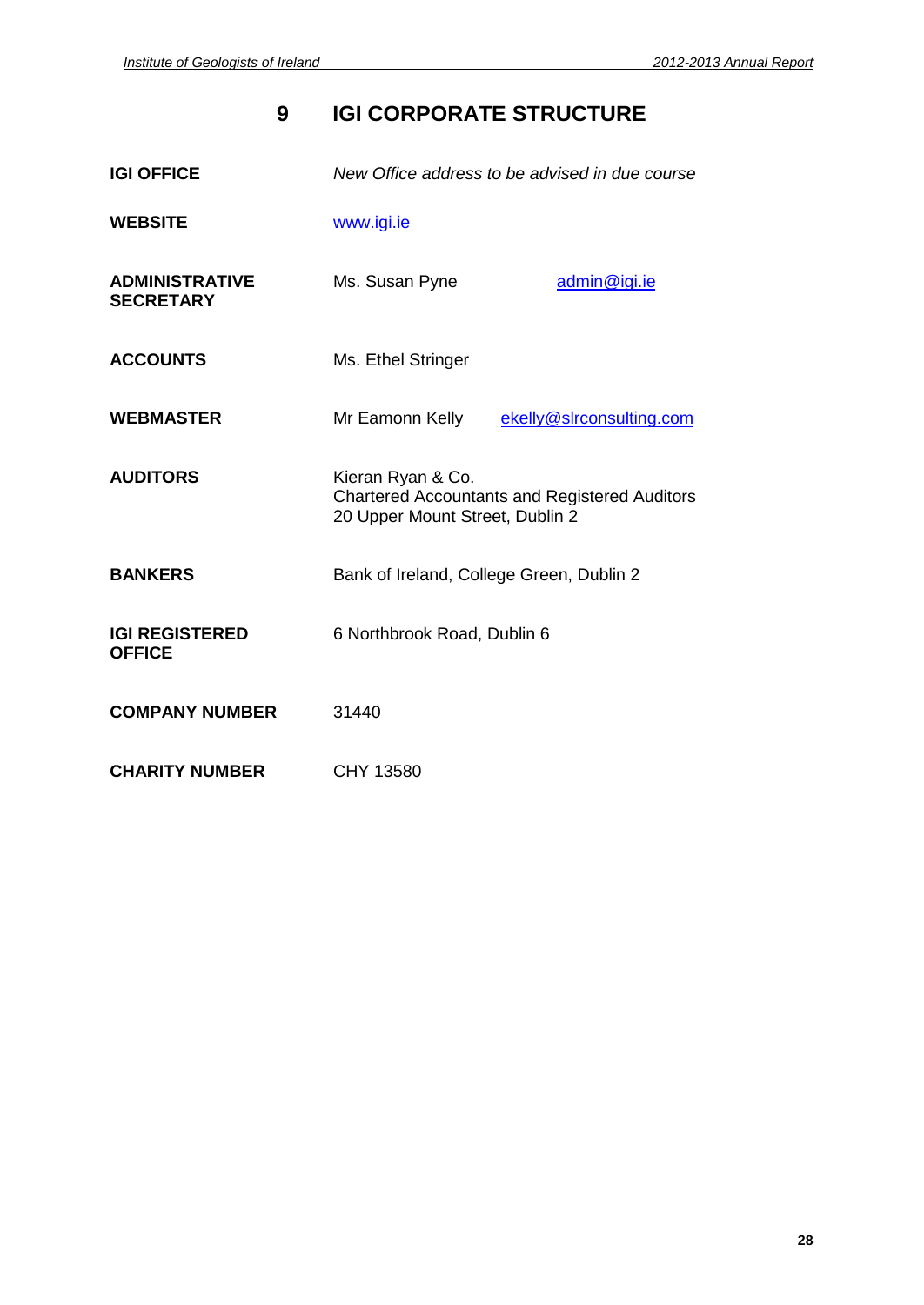# **9 IGI CORPORATE STRUCTURE**

| <b>IGI OFFICE</b>                         | New Office address to be advised in due course                                                               |  |
|-------------------------------------------|--------------------------------------------------------------------------------------------------------------|--|
| <b>WEBSITE</b>                            | www.igi.ie                                                                                                   |  |
| <b>ADMINISTRATIVE</b><br><b>SECRETARY</b> | Ms. Susan Pyne<br>admin@igi.ie                                                                               |  |
| <b>ACCOUNTS</b>                           | Ms. Ethel Stringer                                                                                           |  |
| <b>WEBMASTER</b>                          | Mr Eamonn Kelly ekelly@slrconsulting.com                                                                     |  |
| <b>AUDITORS</b>                           | Kieran Ryan & Co.<br><b>Chartered Accountants and Registered Auditors</b><br>20 Upper Mount Street, Dublin 2 |  |
| <b>BANKERS</b>                            | Bank of Ireland, College Green, Dublin 2                                                                     |  |
| <b>IGI REGISTERED</b><br><b>OFFICE</b>    | 6 Northbrook Road, Dublin 6                                                                                  |  |
| <b>COMPANY NUMBER</b>                     | 31440                                                                                                        |  |
| <b>CHARITY NUMBER</b>                     | CHY 13580                                                                                                    |  |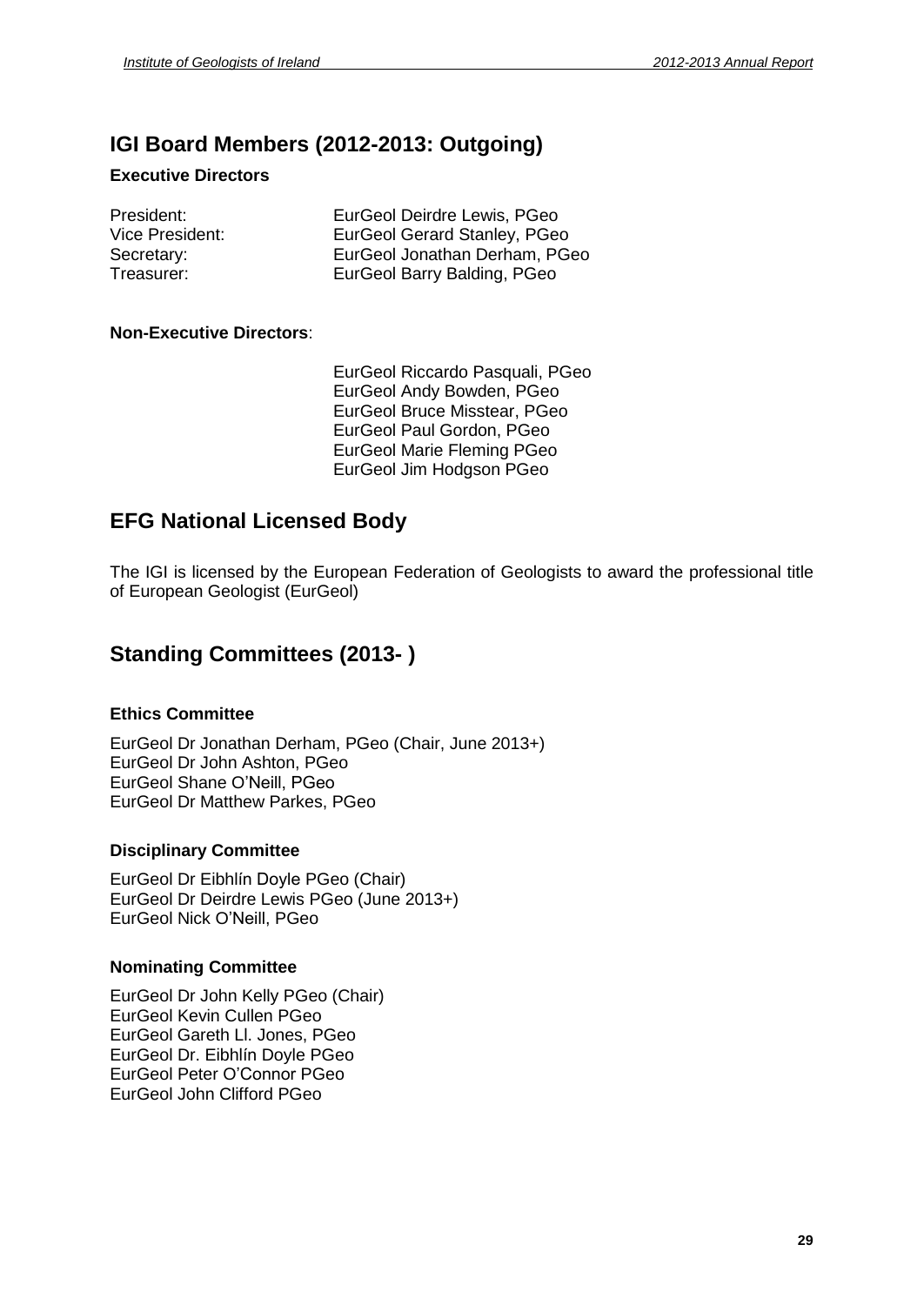# **IGI Board Members (2012-2013: Outgoing)**

# **Executive Directors**

President: EurGeol Deirdre Lewis, PGeo Vice President: EurGeol Gerard Stanley, PGeo Secretary: EurGeol Jonathan Derham, PGeo Treasurer: EurGeol Barry Balding, PGeo

# **Non-Executive Directors**:

EurGeol Riccardo Pasquali, PGeo EurGeol Andy Bowden, PGeo EurGeol Bruce Misstear, PGeo EurGeol Paul Gordon, PGeo EurGeol Marie Fleming PGeo EurGeol Jim Hodgson PGeo

# **EFG National Licensed Body**

The IGI is licensed by the European Federation of Geologists to award the professional title of European Geologist (EurGeol)

# **Standing Committees (2013- )**

# **Ethics Committee**

EurGeol Dr Jonathan Derham, PGeo (Chair, June 2013+) EurGeol Shane <sup>O</sup>íNeill, PGeo EurGeol Dr John Ashton, PGeo EurGeol Dr Matthew Parkes, PGeo

# **Disciplinary Committee**

EurGeol Dr Eibhlín Doyle PGeo (Chair) EurGeol Dr Deirdre Lewis PGeo (June 2013+) EurGeol Dr Eibhlín Doyle PGeo (Cha<br>EurGeol Dr Deirdre Lewis PGeo (Jur<br>EurGeol Nick O'Neill, PGeo

# **Nominating Committee**

EurGeol Dr John Kelly PGeo (Chair) EurGeol Kevin Cullen PGeo EurGeol Gareth Ll. Jones, PGeo EurGeol Kevin Cullen PGeo<br>EurGeol Kevin Cullen PGeo<br>EurGeol Dr. Eibhlín Doyle PGeo EurGeol Gareth Ll. Jones, PGeo<br>EurGeol Dr. Eibhlín Doyle PGeo<br>EurGeol Peter O'Connor PGeo EurGeol John Clifford PGeo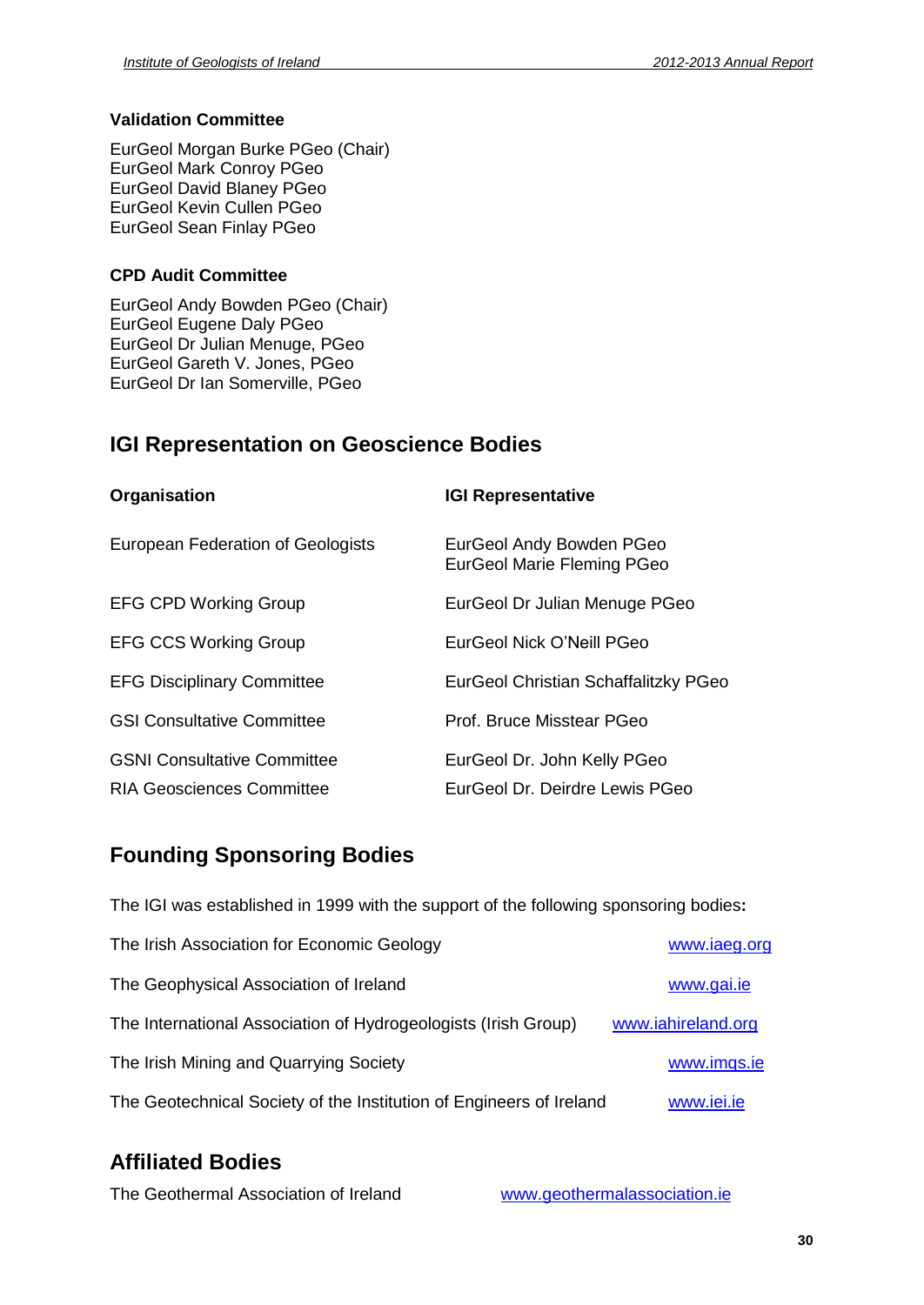# **Validation Committee**

EurGeol Morgan Burke PGeo (Chair) EurGeol Mark Conroy PGeo EurGeol David Blaney PGeo EurGeol Kevin Cullen PGeo EurGeol Sean Finlay PGeo

# **CPD Audit Committee**

EurGeol Andy Bowden PGeo (Chair) EurGeol Eugene Daly PGeo EurGeol Dr Julian Menuge, PGeo EurGeol Gareth V. Jones, PGeo EurGeol Dr Ian Somerville, PGeo

# **IGI Representation on Geoscience Bodies**

| Organisation                       | <b>IGI Representative</b>                              |
|------------------------------------|--------------------------------------------------------|
| European Federation of Geologists  | EurGeol Andy Bowden PGeo<br>EurGeol Marie Fleming PGeo |
| <b>EFG CPD Working Group</b>       | EurGeol Dr Julian Menuge PGeo                          |
| <b>EFG CCS Working Group</b>       | EurGeol Nick O'Neill PGeo                              |
| <b>EFG Disciplinary Committee</b>  | EurGeol Christian Schaffalitzky PGeo                   |
| <b>GSI Consultative Committee</b>  | Prof. Bruce Misstear PGeo                              |
| <b>GSNI Consultative Committee</b> | EurGeol Dr. John Kelly PGeo                            |
| <b>RIA Geosciences Committee</b>   | EurGeol Dr. Deirdre Lewis PGeo                         |

# **Founding Sponsoring Bodies**

The IGI was established in 1999 with the support of the following sponsoring bodies**:** The Irish Association for Economic Geology [www.iaeg.org](http://www.iaeg.org) The Geophysical Association of Ireland Www.gai.ie The International Association of Hydrogeologists (Irish Group) [www.iahireland.org](http://www.iahireland.org) The Irish Mining and Quarrying Society **[www.imqs.ie](http://www.imqs.ie)** The Geotechnical Society of the Institution of Engineers of Ireland [www.iei.ie](http://www.iei.ie)

# **Affiliated Bodies**

The Geothermal Association of Ireland [www.geothermalassociation.ie](http://www.geothermalassociation.ie)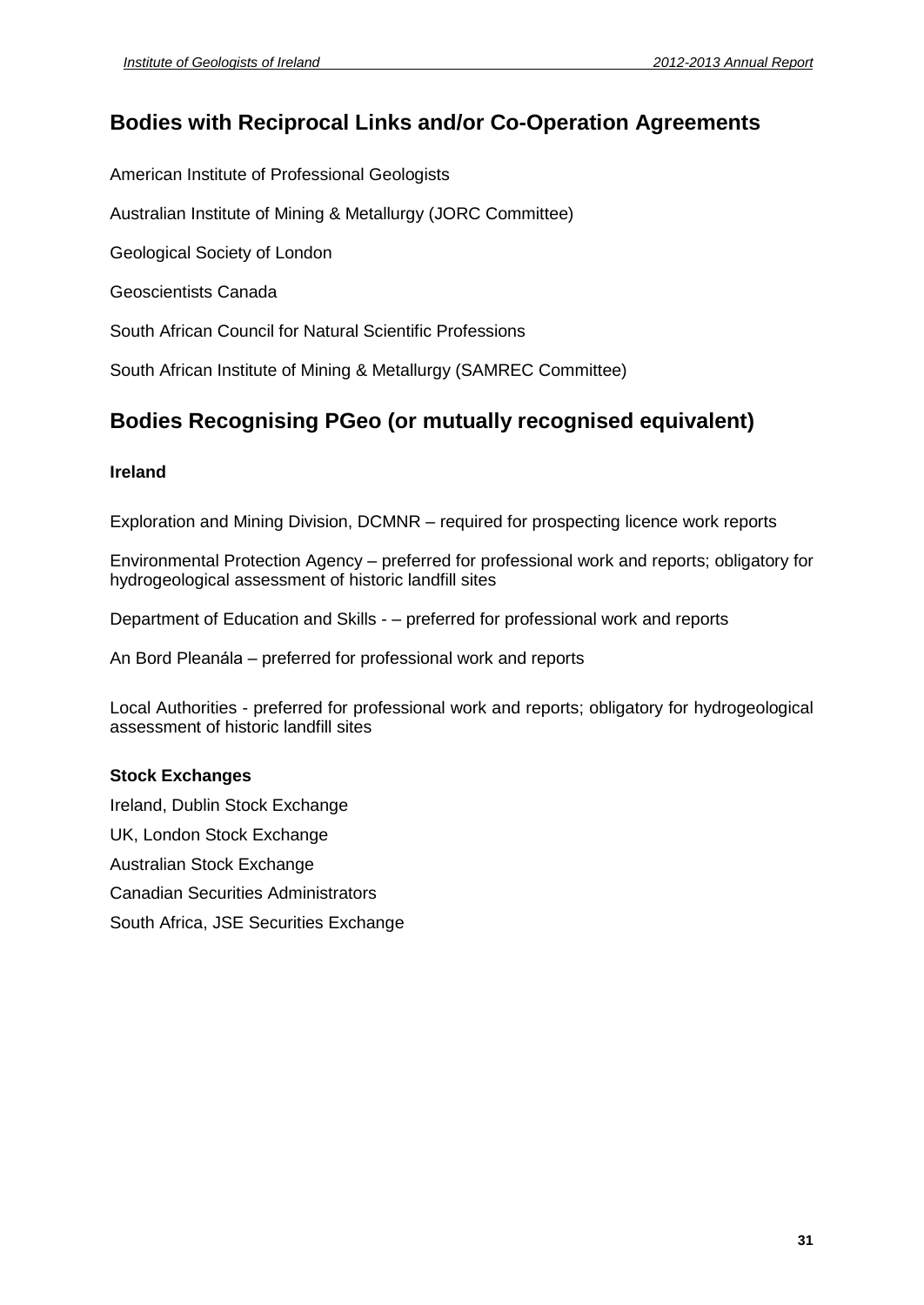# **Bodies with Reciprocal Links and/or Co-Operation Agreements**

American Institute of Professional Geologists

Australian Institute of Mining & Metallurgy (JORC Committee)

Geological Society of London

Geoscientists Canada

South African Council for Natural Scientific Professions

South African Institute of Mining & Metallurgy (SAMREC Committee)

# **Bodies Recognising PGeo (ormutually recognised equivalent)**

# **Ireland**

Exploration and Mining Division, DCMNR – required for prospecting licence work reports

Environmental Protection Agency – preferred for professional work and reports; obligatory for hydrogeological assessment of historic landfill sites Entronments in Eccesian Agency<br>hydrogeological assessment of historic landfill sites<br>Department of Education and Skills - – preferred for professional work and reports

Department of Education and Skills - – preferred for professional work a<br>An Bord Pleanála – preferred for professional work and reports

Local Authorities - preferred for professional work and reports; obligatory for hydrogeological assessment of historic landfill sites

# **Stock Exchanges**

Ireland, Dublin Stock Exchange UK, London Stock Exchange Australian Stock Exchange Canadian Securities Administrators South Africa, JSE Securities Exchange